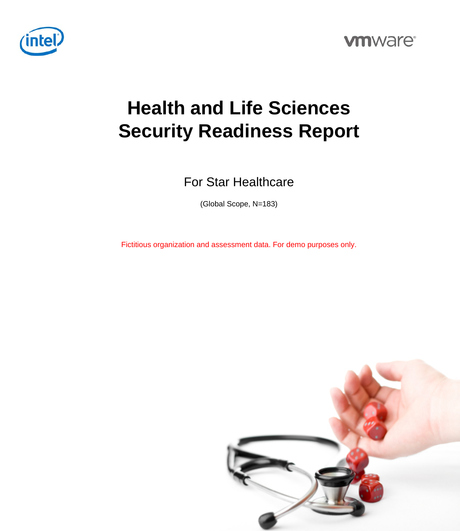



# **Health and Life Sciences Security Readiness Report**

For Star Healthcare

(Global Scope, N=183)

Fictitious organization and assessment data. For demo purposes only.

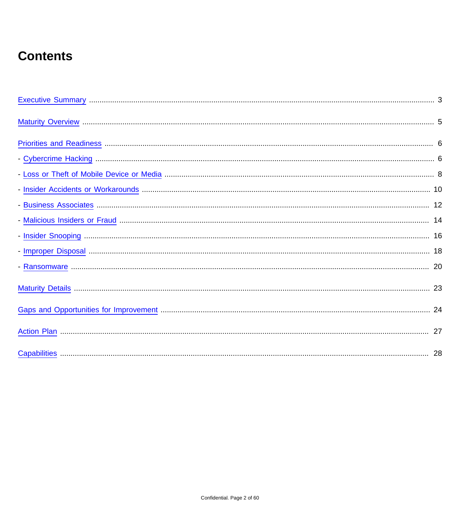### **Contents**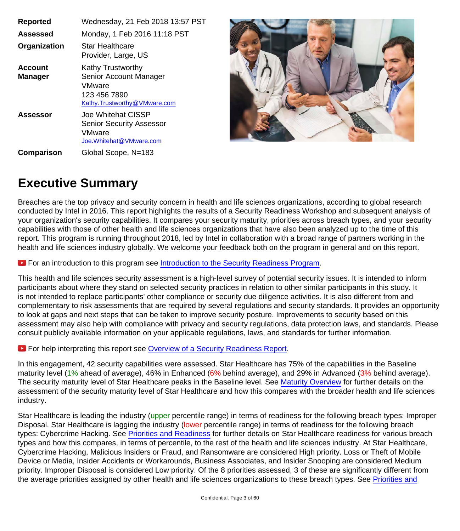| <b>Reported</b>                  | Wednesday, 21 Feb 2018 13:57 PST                                                                             |
|----------------------------------|--------------------------------------------------------------------------------------------------------------|
| Assessed                         | Monday, 1 Feb 2016 11:18 PST                                                                                 |
| Organization                     | <b>Star Healthcare</b><br>Provider, Large, US                                                                |
| <b>Account</b><br><b>Manager</b> | <b>Kathy Trustworthy</b><br>Senior Account Manager<br>VMware<br>123 456 7890<br>Kathy.Trustworthy@VMware.com |
| <b>Assessor</b>                  | Joe Whitehat CISSP<br><b>Senior Security Assessor</b><br><b>VMware</b><br>Joe. Whitehat@VMware.com           |
| Comparison                       | Global Scope, N=183                                                                                          |



#### <span id="page-2-0"></span>**Executive Summary**

Breaches are the top privacy and security concern in health and life sciences organizations, according to global research conducted by Intel in 2016. This report highlights the results of a Security Readiness Workshop and subsequent analysis of your organization's security capabilities. It compares your security maturity, priorities across breach types, and your security capabilities with those of other health and life sciences organizations that have also been analyzed up to the time of this report. This program is running throughout 2018, led by Intel in collaboration with a broad range of partners working in the health and life sciences industry globally. We welcome your feedback both on the program in general and on this report.

**E** For an introduction to this program see [Introduction to the Security Readiness Program.](https://youtu.be/NjphNcX8fOY)

This health and life sciences security assessment is a high-level survey of potential security issues. It is intended to inform participants about where they stand on selected security practices in relation to other similar participants in this study. It is not intended to replace participants' other compliance or security due diligence activities. It is also different from and complementary to risk assessments that are required by several regulations and security standards. It provides an opportunity to look at gaps and next steps that can be taken to improve security posture. Improvements to security based on this assessment may also help with compliance with privacy and security regulations, data protection laws, and standards. Please consult publicly available information on your applicable regulations, laws, and standards for further information.

**E** For help interpreting this report see [Overview of a Security Readiness Report.](https://youtu.be/xUmXUwC4HMU)

In this engagement, 42 security capabilities were assessed. Star Healthcare has 75% of the capabilities in the Baseline maturity level (1% ahead of average), 46% in Enhanced (6% behind average), and 29% in Advanced (3% behind average). The security maturity level of Star Healthcare peaks in the Baseline level. See [Maturity Overview](#page-4-0) for further details on the assessment of the security maturity level of Star Healthcare and how this compares with the broader health and life sciences industry.

Star Healthcare is leading the industry (upper percentile range) in terms of readiness for the following breach types: Improper Disposal. Star Healthcare is lagging the industry (lower percentile range) in terms of readiness for the following breach types: Cybercrime Hacking. See [Priorities and Readiness](#page-5-0) for further details on Star Healthcare readiness for various breach types and how this compares, in terms of percentile, to the rest of the health and life sciences industry. At Star Healthcare, Cybercrime Hacking, Malicious Insiders or Fraud, and Ransomware are considered High priority. Loss or Theft of Mobile Device or Media, Insider Accidents or Workarounds, Business Associates, and Insider Snooping are considered Medium priority. Improper Disposal is considered Low priority. Of the 8 priorities assessed, 3 of these are significantly different from the average priorities assigned by other health and life sciences organizations to these breach types. See [Priorities and](#page-5-0)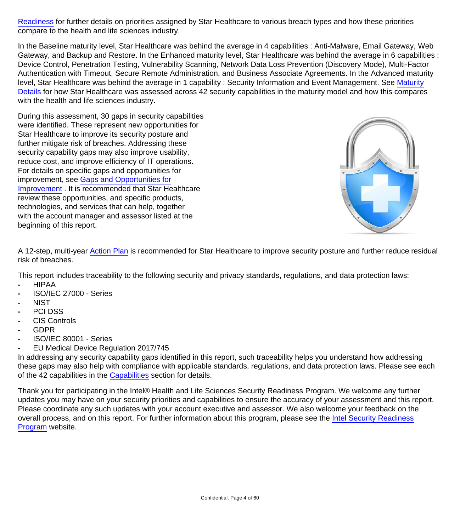[Readiness](#page-5-0) for further details on priorities assigned by Star Healthcare to various breach types and how these priorities compare to the health and life sciences industry.

In the Baseline maturity level, Star Healthcare was behind the average in 4 capabilities : Anti-Malware, Email Gateway, Web Gateway, and Backup and Restore. In the Enhanced maturity level, Star Healthcare was behind the average in 6 capabilities : Device Control, Penetration Testing, Vulnerability Scanning, Network Data Loss Prevention (Discovery Mode), Multi-Factor Authentication with Timeout, Secure Remote Administration, and Business Associate Agreements. In the Advanced maturity level, Star Healthcare was behind the average in 1 capability : Security Information and Event Management. See [Maturity](#page-22-0) [Details](#page-22-0) for how Star Healthcare was assessed across 42 security capabilities in the maturity model and how this compares with the health and life sciences industry.

During this assessment, 30 gaps in security capabilities were identified. These represent new opportunities for Star Healthcare to improve its security posture and further mitigate risk of breaches. Addressing these security capability gaps may also improve usability, reduce cost, and improve efficiency of IT operations. For details on specific gaps and opportunities for improvement, see [Gaps and Opportunities for](#page-23-0) [Improvement](#page-23-0) . It is recommended that Star Healthcare review these opportunities, and specific products, technologies, and services that can help, together with the account manager and assessor listed at the beginning of this report.



A 12-step, multi-year [Action Plan](#page-26-0) is recommended for Star Healthcare to improve security posture and further reduce residual risk of breaches.

This report includes traceability to the following security and privacy standards, regulations, and data protection laws:

- **-** HIPAA
- **-** ISO/IEC 27000 Series
- **-** NIST
- **-** PCI DSS
- **-** CIS Controls
- **-** GDPR
- **-** ISO/IEC 80001 Series
- **-** EU Medical Device Regulation 2017/745

In addressing any security capability gaps identified in this report, such traceability helps you understand how addressing these gaps may also help with compliance with applicable standards, regulations, and data protection laws. Please see each of the 42 capabilities in the [Capabilities](#page-27-0) section for details.

Thank you for participating in the Intel® Health and Life Sciences Security Readiness Program. We welcome any further updates you may have on your security priorities and capabilities to ensure the accuracy of your assessment and this report. Please coordinate any such updates with your account executive and assessor. We also welcome your feedback on the overall process, and on this report. For further information about this program, please see the [Intel Security Readiness](http://www.intel.com/content/www/us/en/healthcare-it/solutions/breach-security-assessment-program.html) [Program](http://www.intel.com/content/www/us/en/healthcare-it/solutions/breach-security-assessment-program.html) website.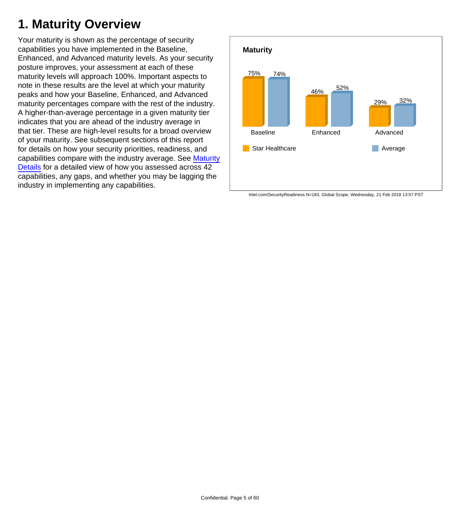### <span id="page-4-0"></span>**1. Maturity Overview**

Your maturity is shown as the percentage of security capabilities you have implemented in the Baseline, Enhanced, and Advanced maturity levels. As your security posture improves, your assessment at each of these maturity levels will approach 100%. Important aspects to note in these results are the level at which your maturity peaks and how your Baseline, Enhanced, and Advanced maturity percentages compare with the rest of the industry. A higher-than-average percentage in a given maturity tier indicates that you are ahead of the industry average in that tier. These are high-level results for a broad overview of your maturity. See subsequent sections of this report for details on how your security priorities, readiness, and capabilities compare with the industry average. See [Maturity](#page-22-0) [Details](#page-22-0) for a detailed view of how you assessed across 42 capabilities, any gaps, and whether you may be lagging the industry in implementing any capabilities.



Intel.com/SecurityReadiness N=183, Global Scope, Wednesday, 21 Feb 2018 13:57 PST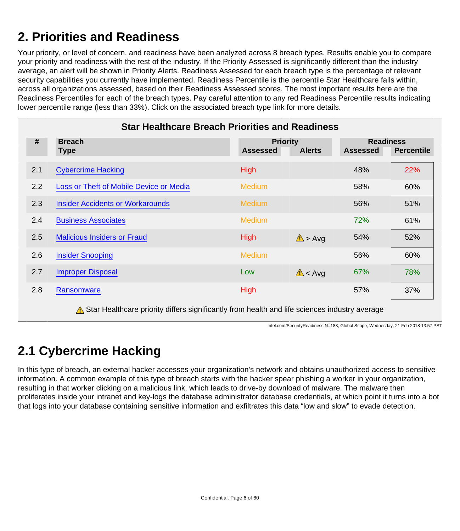### <span id="page-5-0"></span>**2. Priorities and Readiness**

Your priority, or level of concern, and readiness have been analyzed across 8 breach types. Results enable you to compare your priority and readiness with the rest of the industry. If the Priority Assessed is significantly different than the industry average, an alert will be shown in Priority Alerts. Readiness Assessed for each breach type is the percentage of relevant security capabilities you currently have implemented. Readiness Percentile is the percentile Star Healthcare falls within, across all organizations assessed, based on their Readiness Assessed scores. The most important results here are the Readiness Percentiles for each of the breach types. Pay careful attention to any red Readiness Percentile results indicating lower percentile range (less than 33%). Click on the associated breach type link for more details.

|     | <b>Star Healthcare Breach Priorities and Readiness</b>                                                                 |                 |                                  |                 |                                       |
|-----|------------------------------------------------------------------------------------------------------------------------|-----------------|----------------------------------|-----------------|---------------------------------------|
| #   | <b>Breach</b><br><b>Type</b>                                                                                           | <b>Assessed</b> | <b>Priority</b><br><b>Alerts</b> | <b>Assessed</b> | <b>Readiness</b><br><b>Percentile</b> |
| 2.1 | <b>Cybercrime Hacking</b>                                                                                              | <b>High</b>     |                                  | 48%             | 22%                                   |
| 2.2 | Loss or Theft of Mobile Device or Media                                                                                | <b>Medium</b>   |                                  | 58%             | 60%                                   |
| 2.3 | <b>Insider Accidents or Workarounds</b>                                                                                | <b>Medium</b>   |                                  | 56%             | 51%                                   |
| 2.4 | <b>Business Associates</b>                                                                                             | <b>Medium</b>   |                                  | 72%             | 61%                                   |
| 2.5 | <b>Malicious Insiders or Fraud</b>                                                                                     | <b>High</b>     | $\Lambda$ > Avg                  | 54%             | 52%                                   |
| 2.6 | <b>Insider Snooping</b>                                                                                                | <b>Medium</b>   |                                  | 56%             | 60%                                   |
| 2.7 | <b>Improper Disposal</b>                                                                                               | Low             | $\triangle$ < Avg                | 67%             | 78%                                   |
| 2.8 | Ransomware                                                                                                             | <b>High</b>     |                                  | 57%             | 37%                                   |
|     | A consistent and a second state of $H$ and $H$ and $H$ and $H$ and $H$ and $H$ and $H$ and $H$ and $H$ and $H$ and $H$ |                 |                                  |                 |                                       |

 $\Lambda$  Star Healthcare priority differs significantly from health and life sciences industry average

Intel.com/SecurityReadiness N=183, Global Scope, Wednesday, 21 Feb 2018 13:57 PST

### <span id="page-5-1"></span>**2.1 Cybercrime Hacking**

In this type of breach, an external hacker accesses your organization's network and obtains unauthorized access to sensitive information. A common example of this type of breach starts with the hacker spear phishing a worker in your organization, resulting in that worker clicking on a malicious link, which leads to drive-by download of malware. The malware then proliferates inside your intranet and key-logs the database administrator database credentials, at which point it turns into a bot that logs into your database containing sensitive information and exfiltrates this data "low and slow" to evade detection.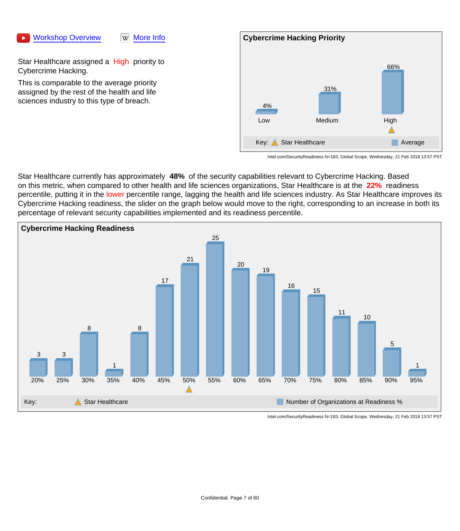#### [Workshop Overview](https://youtu.be/IGpiBmpEq7Y) WW [More Info](https://en.wikipedia.org/wiki/Cybercrime)

Star Healthcare assigned a High priority to Cybercrime Hacking.

This is comparable to the average priority assigned by the rest of the health and life sciences industry to this type of breach.



Intel.com/SecurityReadiness N=183, Global Scope, Wednesday, 21 Feb 2018 13:57 PST

Star Healthcare currently has approximately **48%** of the security capabilities relevant to Cybercrime Hacking. Based on this metric, when compared to other health and life sciences organizations, Star Healthcare is at the **22%** readiness percentile, putting it in the lower percentile range, lagging the health and life sciences industry. As Star Healthcare improves its Cybercrime Hacking readiness, the slider on the graph below would move to the right, corresponding to an increase in both its percentage of relevant security capabilities implemented and its readiness percentile.

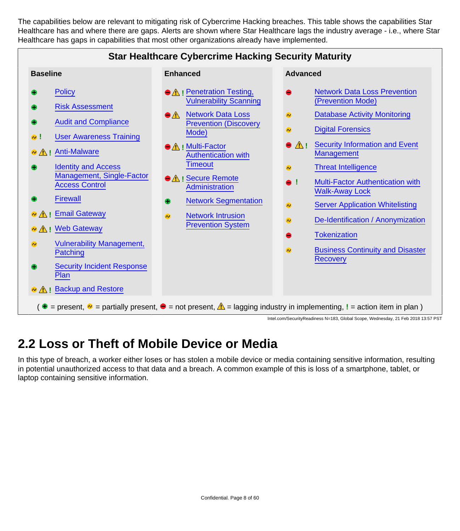The capabilities below are relevant to mitigating risk of Cybercrime Hacking breaches. This table shows the capabilities Star Healthcare has and where there are gaps. Alerts are shown where Star Healthcare lags the industry average - i.e., where Star Healthcare has gaps in capabilities that most other organizations already have implemented.



### <span id="page-7-0"></span>**2.2 Loss or Theft of Mobile Device or Media**

In this type of breach, a worker either loses or has stolen a mobile device or media containing sensitive information, resulting in potential unauthorized access to that data and a breach. A common example of this is loss of a smartphone, tablet, or laptop containing sensitive information.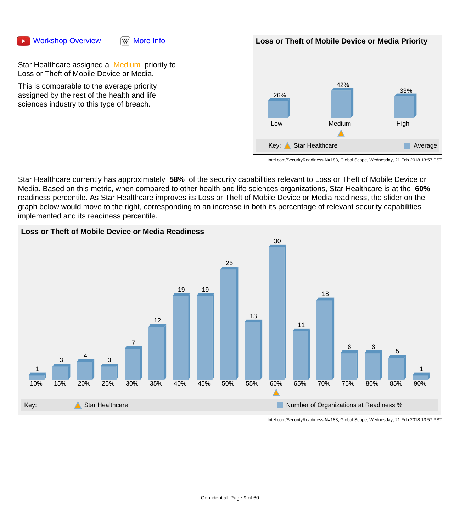#### [Workshop Overview](https://youtu.be/7EI4Gg23VUU) WW [More Info](https://en.wikipedia.org/wiki/Data_breach)

Star Healthcare assigned a Medium priority to Loss or Theft of Mobile Device or Media.

This is comparable to the average priority assigned by the rest of the health and life sciences industry to this type of breach.



Intel.com/SecurityReadiness N=183, Global Scope, Wednesday, 21 Feb 2018 13:57 PST

Star Healthcare currently has approximately **58%** of the security capabilities relevant to Loss or Theft of Mobile Device or Media. Based on this metric, when compared to other health and life sciences organizations, Star Healthcare is at the **60%**  readiness percentile. As Star Healthcare improves its Loss or Theft of Mobile Device or Media readiness, the slider on the graph below would move to the right, corresponding to an increase in both its percentage of relevant security capabilities implemented and its readiness percentile.

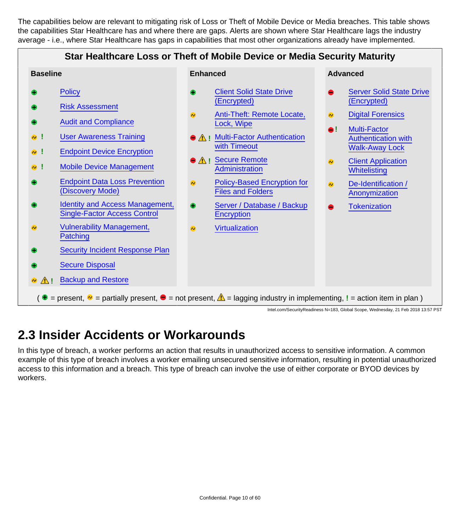The capabilities below are relevant to mitigating risk of Loss or Theft of Mobile Device or Media breaches. This table shows the capabilities Star Healthcare has and where there are gaps. Alerts are shown where Star Healthcare lags the industry average - i.e., where Star Healthcare has gaps in capabilities that most other organizations already have implemented.

#### **Star Healthcare Loss or Theft of Mobile Device or Media Security Maturity**



#### <span id="page-9-0"></span>**2.3 Insider Accidents or Workarounds**

In this type of breach, a worker performs an action that results in unauthorized access to sensitive information. A common example of this type of breach involves a worker emailing unsecured sensitive information, resulting in potential unauthorized access to this information and a breach. This type of breach can involve the use of either corporate or BYOD devices by workers.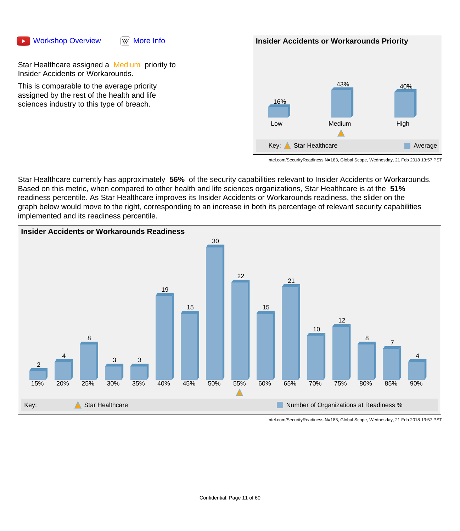#### [Workshop Overview](https://youtu.be/T7WwZYYRP4E) WW [More Info](https://en.wikipedia.org/wiki/Data_breach)



Star Healthcare assigned a Medium priority to Insider Accidents or Workarounds.

This is comparable to the average priority assigned by the rest of the health and life sciences industry to this type of breach.



Intel.com/SecurityReadiness N=183, Global Scope, Wednesday, 21 Feb 2018 13:57 PST

Star Healthcare currently has approximately **56%** of the security capabilities relevant to Insider Accidents or Workarounds. Based on this metric, when compared to other health and life sciences organizations, Star Healthcare is at the **51%**  readiness percentile. As Star Healthcare improves its Insider Accidents or Workarounds readiness, the slider on the graph below would move to the right, corresponding to an increase in both its percentage of relevant security capabilities implemented and its readiness percentile.

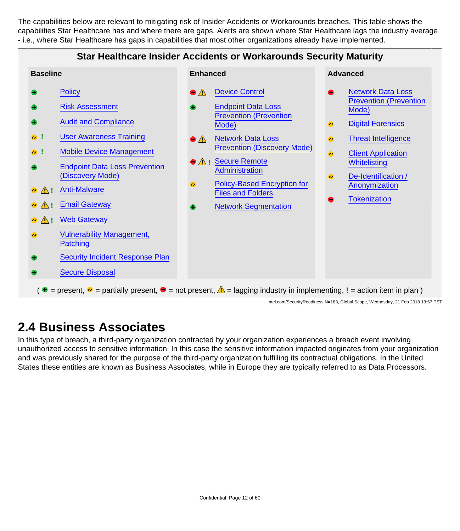The capabilities below are relevant to mitigating risk of Insider Accidents or Workarounds breaches. This table shows the capabilities Star Healthcare has and where there are gaps. Alerts are shown where Star Healthcare lags the industry average - i.e., where Star Healthcare has gaps in capabilities that most other organizations already have implemented.



#### <span id="page-11-0"></span>**2.4 Business Associates**

In this type of breach, a third-party organization contracted by your organization experiences a breach event involving unauthorized access to sensitive information. In this case the sensitive information impacted originates from your organization and was previously shared for the purpose of the third-party organization fulfilling its contractual obligations. In the United States these entities are known as Business Associates, while in Europe they are typically referred to as Data Processors.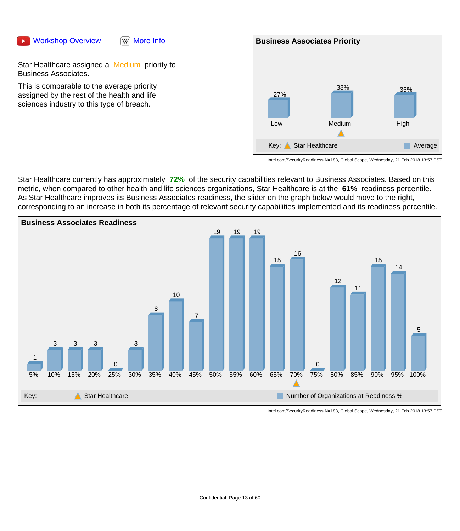#### [Workshop Overview](https://youtu.be/6033cpkQov4) WW [More Info](https://en.wikipedia.org/wiki/Data_breach)



Star Healthcare assigned a Medium priority to Business Associates.

This is comparable to the average priority assigned by the rest of the health and life sciences industry to this type of breach.



Intel.com/SecurityReadiness N=183, Global Scope, Wednesday, 21 Feb 2018 13:57 PST

Star Healthcare currently has approximately **72%** of the security capabilities relevant to Business Associates. Based on this metric, when compared to other health and life sciences organizations, Star Healthcare is at the **61%** readiness percentile. As Star Healthcare improves its Business Associates readiness, the slider on the graph below would move to the right, corresponding to an increase in both its percentage of relevant security capabilities implemented and its readiness percentile.

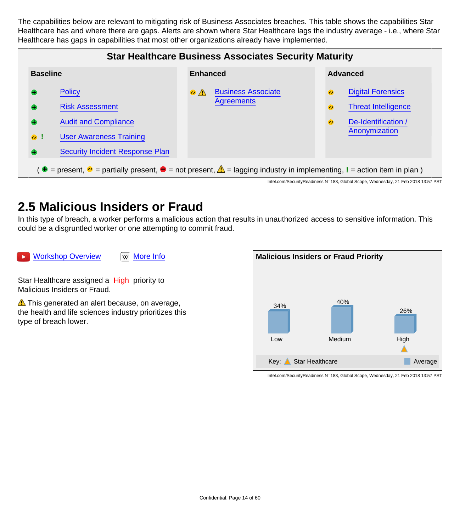The capabilities below are relevant to mitigating risk of Business Associates breaches. This table shows the capabilities Star Healthcare has and where there are gaps. Alerts are shown where Star Healthcare lags the industry average - i.e., where Star Healthcare has gaps in capabilities that most other organizations already have implemented.



#### <span id="page-13-0"></span>**2.5 Malicious Insiders or Fraud**

In this type of breach, a worker performs a malicious action that results in unauthorized access to sensitive information. This could be a disgruntled worker or one attempting to commit fraud.

[Workshop Overview](https://youtu.be/wH2SuZ6DSHo) W [More Info](https://en.wikipedia.org/wiki/Insider_threat)

Star Healthcare assigned a High priority to Malicious Insiders or Fraud.

 $\triangle$  This generated an alert because, on average, the health and life sciences industry prioritizes this type of breach lower.

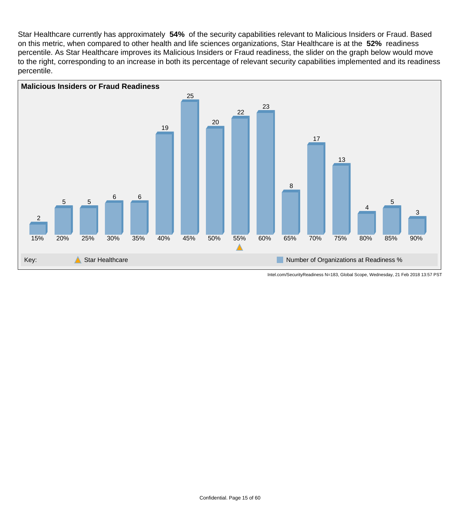Star Healthcare currently has approximately **54%** of the security capabilities relevant to Malicious Insiders or Fraud. Based on this metric, when compared to other health and life sciences organizations, Star Healthcare is at the **52%** readiness percentile. As Star Healthcare improves its Malicious Insiders or Fraud readiness, the slider on the graph below would move to the right, corresponding to an increase in both its percentage of relevant security capabilities implemented and its readiness percentile.

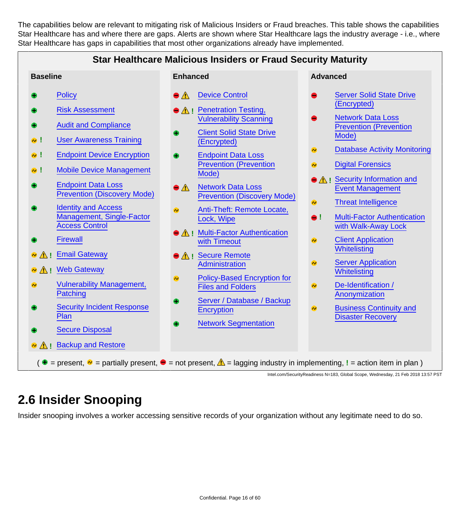The capabilities below are relevant to mitigating risk of Malicious Insiders or Fraud breaches. This table shows the capabilities Star Healthcare has and where there are gaps. Alerts are shown where Star Healthcare lags the industry average - i.e., where Star Healthcare has gaps in capabilities that most other organizations already have implemented.

#### **Star Healthcare Malicious Insiders or Fraud Security Maturity**

- **[Policy](#page-27-1)**
- [Risk Assessment](#page-28-0)
- [Audit and Compliance](#page-29-0)
- **!** [User Awareness Training](#page-30-0)
- **!** [Endpoint Device Encryption](#page-31-0)
- **!** [Mobile Device Management](#page-32-0)
- [Endpoint Data Loss](#page-33-1) [Prevention \(Discovery Mode\)](#page-33-1)
- [Identity and Access](#page-34-0) [Management, Single-Factor](#page-34-0) [Access Control](#page-34-0)
- **[Firewall](#page-35-0)**
- **<sup>2</sup>** A<sub>!</sub> [Email Gateway](#page-36-0)
- **<sup>•</sup> 1 [Web Gateway](#page-37-0)**
- [Vulnerability Management,](#page-38-0)  $\bullet$ **[Patching](#page-38-0)**
- [Security Incident Response](#page-39-0) **[Plan](#page-39-0)**
- [Secure Disposal](#page-40-0)
- **A** ! [Backup and Restore](#page-41-0)
- 
- [Device Control](#page-42-0)  $\bullet$   $\wedge$
- **A** ! [Penetration Testing,](#page-43-0) [Vulnerability Scanning](#page-43-0)
- [Client Solid State Drive](#page-44-0) [\(Encrypted\)](#page-44-0)
- [Endpoint Data Loss](#page-44-1) [Prevention \(Prevention](#page-44-1) [Mode\)](#page-44-1)
- $\bullet$   $\wedge$ [Network Data Loss](#page-45-0) [Prevention \(Discovery Mode\)](#page-45-0)
- $\bullet$ [Anti-Theft: Remote Locate,](#page-45-1) [Lock, Wipe](#page-45-1)
- **A** ! [Multi-Factor Authentication](#page-46-0) [with Timeout](#page-46-0)
- **A** ! [Secure Remote](#page-47-0) **[Administration](#page-47-0)**
- [Policy-Based Encryption for](#page-48-0)  $\bullet$ [Files and Folders](#page-48-0)
- [Server / Database / Backup](#page-48-1) **[Encryption](#page-48-1)**
- [Network Segmentation](#page-49-0)

#### **Baseline Advanced Advanced Advanced Advanced Advanced Advanced Advanced Advanced**

- [Server Solid State Drive](#page-51-1) [\(Encrypted\)](#page-51-1)
- [Network Data Loss](#page-51-0) [Prevention \(Prevention](#page-51-0) [Mode\)](#page-51-0)
- [Database Activity Monitoring](#page-52-0)  $\bullet$
- [Digital Forensics](#page-52-1)  $\bullet$
- **A** ! [Security Information and](#page-53-0) [Event Management](#page-53-0)
- [Threat Intelligence](#page-54-0)  $\bullet$
- **!** [Multi-Factor Authentication](#page-55-0) [with Walk-Away Lock](#page-55-0)
- [Client Application](#page-56-0)  $\bullet$ **[Whitelisting](#page-56-0)**
- $\bullet$ [Server Application](#page-57-0) **[Whitelisting](#page-57-0)**
- $\bullet$ [De-Identification /](#page-57-1) [Anonymization](#page-57-1)
- [Business Continuity and](#page-58-1)  $\bullet$ [Disaster Recovery](#page-58-1)

( $\theta$  = present,  $\phi$  = partially present,  $\theta$  = not present,  $\Delta$  = lagging industry in implementing, ! = action item in plan )

Intel.com/SecurityReadiness N=183, Global Scope, Wednesday, 21 Feb 2018 13:57 PST

#### <span id="page-15-0"></span>**2.6 Insider Snooping**

Insider snooping involves a worker accessing sensitive records of your organization without any legitimate need to do so.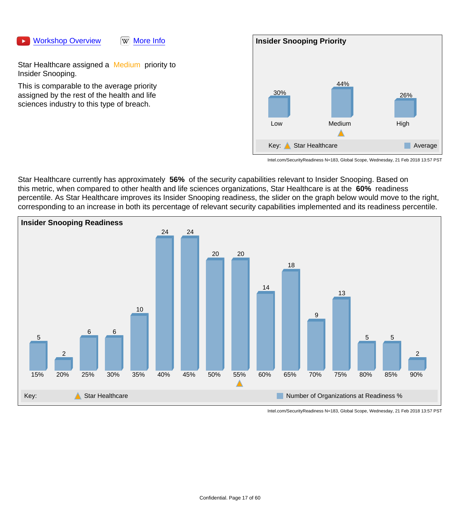#### [Workshop Overview](https://youtu.be/527j6qY3NzE) WW [More Info](https://en.wikipedia.org/wiki/Data_breach)



Star Healthcare assigned a Medium priority to Insider Snooping.

This is comparable to the average priority assigned by the rest of the health and life sciences industry to this type of breach.



Intel.com/SecurityReadiness N=183, Global Scope, Wednesday, 21 Feb 2018 13:57 PST

Star Healthcare currently has approximately **56%** of the security capabilities relevant to Insider Snooping. Based on this metric, when compared to other health and life sciences organizations, Star Healthcare is at the **60%** readiness percentile. As Star Healthcare improves its Insider Snooping readiness, the slider on the graph below would move to the right, corresponding to an increase in both its percentage of relevant security capabilities implemented and its readiness percentile.

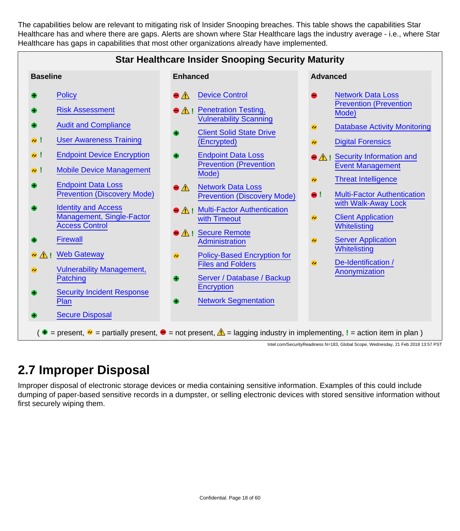The capabilities below are relevant to mitigating risk of Insider Snooping breaches. This table shows the capabilities Star Healthcare has and where there are gaps. Alerts are shown where Star Healthcare lags the industry average - i.e., where Star Healthcare has gaps in capabilities that most other organizations already have implemented.

|                                                                                                                                                                                                                                                                                                                                                                                                         | <b>Star Healthcare Insider Snooping Security Maturity</b>                                                                                                                                                                                                                                                                                                                                                                          |                                                                                                                                                                                                                                                                                                                                                                                                                                                        |
|---------------------------------------------------------------------------------------------------------------------------------------------------------------------------------------------------------------------------------------------------------------------------------------------------------------------------------------------------------------------------------------------------------|------------------------------------------------------------------------------------------------------------------------------------------------------------------------------------------------------------------------------------------------------------------------------------------------------------------------------------------------------------------------------------------------------------------------------------|--------------------------------------------------------------------------------------------------------------------------------------------------------------------------------------------------------------------------------------------------------------------------------------------------------------------------------------------------------------------------------------------------------------------------------------------------------|
| <b>Baseline</b>                                                                                                                                                                                                                                                                                                                                                                                         | <b>Enhanced</b>                                                                                                                                                                                                                                                                                                                                                                                                                    | <b>Advanced</b>                                                                                                                                                                                                                                                                                                                                                                                                                                        |
| <b>Policy</b><br><b>Risk Assessment</b><br><b>Audit and Compliance</b><br><b>User Awareness Training</b><br>$\bullet$ !<br><b>Endpoint Device Encryption</b><br>$\bullet$ !<br><b>Mobile Device Management</b><br>$\bullet$ !<br><b>Endpoint Data Loss</b><br><b>Prevention (Discovery Mode)</b><br><b>Identity and Access</b><br>Management, Single-Factor<br><b>Access Control</b><br><b>Firewall</b> | <b>Device Control</b><br>$\bullet$ $\Lambda$<br>● A ! Penetration Testing,<br><b>Vulnerability Scanning</b><br><b>Client Solid State Drive</b><br>(Encrypted)<br><b>Endpoint Data Loss</b><br><b>Prevention (Prevention</b><br>Mode)<br><b>Network Data Loss</b><br>$\bullet$ $\Lambda$<br><b>Prevention (Discovery Mode)</b><br>● A ! Multi-Factor Authentication<br>with Timeout<br>● <u>A</u> : Secure Remote<br>Administration | <b>Network Data Loss</b><br><b>Prevention (Prevention</b><br>Mode)<br><b>Database Activity Monitoring</b><br>$\bullet$<br><b>Digital Forensics</b><br>$\bullet$<br>● A: Security Information and<br><b>Event Management</b><br><b>Threat Intelligence</b><br>$\bullet$<br><b>Multi-Factor Authentication</b><br>$\bullet$ !<br>with Walk-Away Lock<br><b>Client Application</b><br>$\bullet$<br>Whitelisting<br><b>Server Application</b><br>$\bullet$ |
| A ! Web Gateway<br>$\bullet$<br><b>Vulnerability Management,</b><br>A)<br><b>Patching</b><br><b>Security Incident Response</b><br>Plan<br><b>Secure Disposal</b>                                                                                                                                                                                                                                        | <b>Policy-Based Encryption for</b><br>$\bullet$<br><b>Files and Folders</b><br>Server / Database / Backup<br><b>Encryption</b><br><b>Network Segmentation</b>                                                                                                                                                                                                                                                                      | <b>Whitelisting</b><br>De-Identification /<br>$\bullet$<br>Anonymization                                                                                                                                                                                                                                                                                                                                                                               |
|                                                                                                                                                                                                                                                                                                                                                                                                         | ( $\bullet$ = present, $\bullet$ = partially present, $\bullet$ = not present, $\triangle$ = lagging industry in implementing, ! = action item in plan)                                                                                                                                                                                                                                                                            | Intel.com/SecurityReadiness N=183, Global Scope, Wednesday, 21 Feb 2018 13:57 PST                                                                                                                                                                                                                                                                                                                                                                      |

### <span id="page-17-0"></span>**2.7 Improper Disposal**

Improper disposal of electronic storage devices or media containing sensitive information. Examples of this could include dumping of paper-based sensitive records in a dumpster, or selling electronic devices with stored sensitive information without first securely wiping them.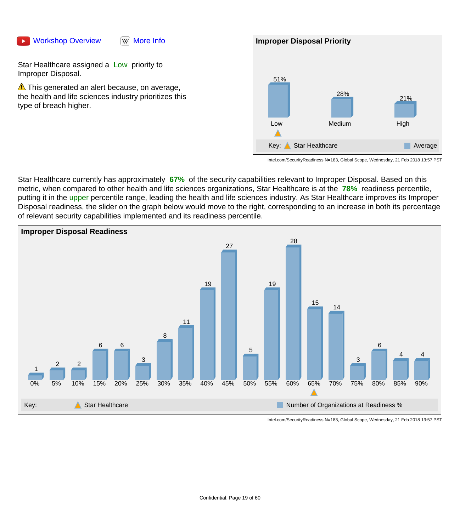#### [Workshop Overview](https://youtu.be/AG4CXBFmMlo) WW [More Info](https://en.wikipedia.org/wiki/Data_breach)



Star Healthcare assigned a Low priority to Improper Disposal.

 $\triangle$  This generated an alert because, on average, the health and life sciences industry prioritizes this type of breach higher.



Intel.com/SecurityReadiness N=183, Global Scope, Wednesday, 21 Feb 2018 13:57 PST

Star Healthcare currently has approximately **67%** of the security capabilities relevant to Improper Disposal. Based on this metric, when compared to other health and life sciences organizations, Star Healthcare is at the **78%** readiness percentile, putting it in the upper percentile range, leading the health and life sciences industry. As Star Healthcare improves its Improper Disposal readiness, the slider on the graph below would move to the right, corresponding to an increase in both its percentage of relevant security capabilities implemented and its readiness percentile.

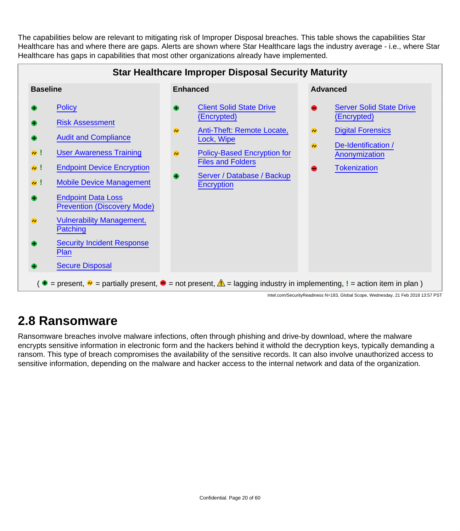The capabilities below are relevant to mitigating risk of Improper Disposal breaches. This table shows the capabilities Star Healthcare has and where there are gaps. Alerts are shown where Star Healthcare lags the industry average - i.e., where Star Healthcare has gaps in capabilities that most other organizations already have implemented.



#### <span id="page-19-0"></span>**2.8 Ransomware**

Ransomware breaches involve malware infections, often through phishing and drive-by download, where the malware encrypts sensitive information in electronic form and the hackers behind it withold the decryption keys, typically demanding a ransom. This type of breach compromises the availability of the sensitive records. It can also involve unauthorized access to sensitive information, depending on the malware and hacker access to the internal network and data of the organization.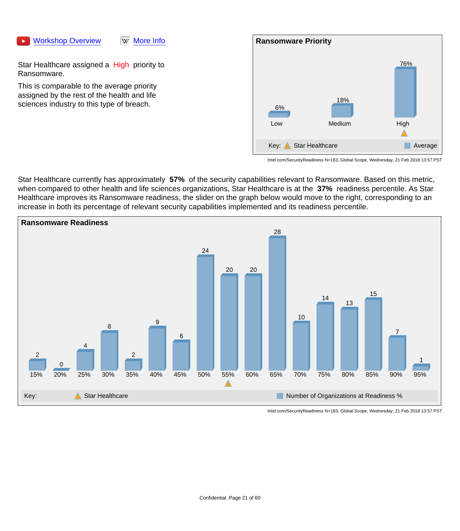



Star Healthcare assigned a High priority to Ransomware.

This is comparable to the average priority assigned by the rest of the health and life sciences industry to this type of breach.



Intel.com/SecurityReadiness N=183, Global Scope, Wednesday, 21 Feb 2018 13:57 PST

Star Healthcare currently has approximately **57%** of the security capabilities relevant to Ransomware. Based on this metric, when compared to other health and life sciences organizations, Star Healthcare is at the **37%** readiness percentile. As Star Healthcare improves its Ransomware readiness, the slider on the graph below would move to the right, corresponding to an increase in both its percentage of relevant security capabilities implemented and its readiness percentile.

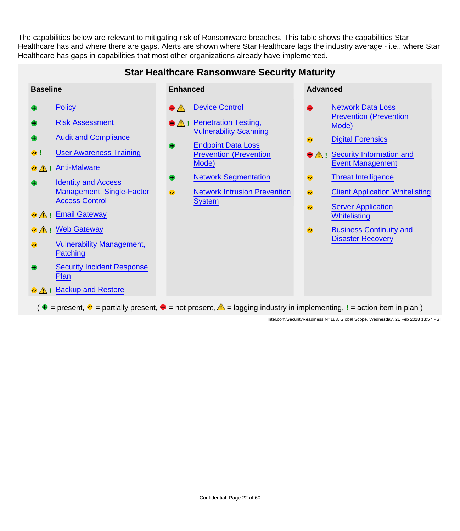The capabilities below are relevant to mitigating risk of Ransomware breaches. This table shows the capabilities Star Healthcare has and where there are gaps. Alerts are shown where Star Healthcare lags the industry average - i.e., where Star Healthcare has gaps in capabilities that most other organizations already have implemented.

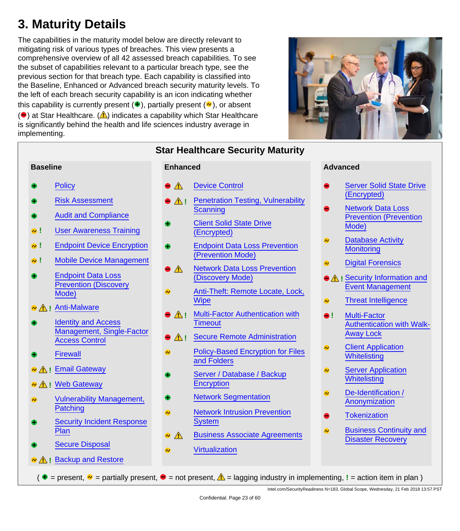## <span id="page-22-0"></span>**3. Maturity Details**

The capabilities in the maturity model below are directly relevant to mitigating risk of various types of breaches. This view presents a comprehensive overview of all 42 assessed breach capabilities. To see the subset of capabilities relevant to a particular breach type, see the previous section for that breach type. Each capability is classified into the Baseline, Enhanced or Advanced breach security maturity levels. To the left of each breach security capability is an icon indicating whether this capability is currently present  $(\bullet)$ , partially present  $(\bullet)$ , or absent  $\left( \bullet \right)$  at Star Healthcare. ( $\triangle$ ) indicates a capability which Star Healthcare is significantly behind the health and life sciences industry average in implementing.



- **[Policy](#page-27-1)**
- [Risk Assessment](#page-28-0)
- [Audit and Compliance](#page-29-0)
- **!** [User Awareness Training](#page-30-0)
- **!** [Endpoint Device Encryption](#page-31-0)
- **!** [Mobile Device Management](#page-32-0)
- [Endpoint Data Loss](#page-33-1) [Prevention \(Discovery](#page-33-1) [Mode\)](#page-33-1)
- **•** A ! [Anti-Malware](#page-33-0)
- [Identity and Access](#page-34-0) [Management, Single-Factor](#page-34-0) [Access Control](#page-34-0)
- **[Firewall](#page-35-0)**
- **<sup>2</sup>** A<sub>!</sub> [Email Gateway](#page-36-0)
- **<sup>***N***</sup>** ! [Web Gateway](#page-37-0)
- [Vulnerability Management,](#page-38-0)  $\bullet$ **[Patching](#page-38-0)**
- [Security Incident Response](#page-39-0) **[Plan](#page-39-0)**
- [Secure Disposal](#page-40-0)
- **A I** [Backup and Restore](#page-41-0)

#### **Baseline Advanced Advanced Advanced Advanced Advanced Advanced Advanced Advanced**

- [Device Control](#page-42-0)
- **A** ! [Penetration Testing, Vulnerability](#page-43-0) **[Scanning](#page-43-0)**
- [Client Solid State Drive](#page-44-0) [\(Encrypted\)](#page-44-0)
- [Endpoint Data Loss Prevention](#page-44-1) [\(Prevention Mode\)](#page-44-1)
- [Network Data Loss Prevention](#page-45-0)  $\bullet$  A [\(Discovery Mode\)](#page-45-0)
- [Anti-Theft: Remote Locate, Lock,](#page-45-1) **[Wipe](#page-45-1)**
- **A I** [Multi-Factor Authentication with](#page-46-0) **[Timeout](#page-46-0)**
- **A !** [Secure Remote Administration](#page-47-0)
- [Policy-Based Encryption for Files](#page-48-0) ನಿ [and Folders](#page-48-0)
- [Server / Database / Backup](#page-48-1) **[Encryption](#page-48-1)**
- [Network Segmentation](#page-49-0)
- [Network Intrusion Prevention](#page-49-1)  $\bullet$ **[System](#page-49-1)**
- [Business Associate Agreements](#page-50-1)  $\mathbb{A}$
- **[Virtualization](#page-50-0)**

- [Server Solid State Drive](#page-51-1) [\(Encrypted\)](#page-51-1)
- [Network Data Loss](#page-51-0) [Prevention \(Prevention](#page-51-0) [Mode\)](#page-51-0)
- [Database Activity](#page-52-0)  $\bullet$ **[Monitoring](#page-52-0)**
- [Digital Forensics](#page-52-1)  $\bullet$
- **A** ! [Security Information and](#page-53-0) [Event Management](#page-53-0)
- [Threat Intelligence](#page-54-0)  $\bullet$
- **!** [Multi-Factor](#page-55-0) [Authentication with Walk-](#page-55-0)[Away Lock](#page-55-0)
- [Client Application](#page-56-0)  $\bullet$ **[Whitelisting](#page-56-0)**
- **[Server Application](#page-57-0)**  $\bullet$ **[Whitelisting](#page-57-0)**
- $\bullet$ [De-Identification /](#page-57-1) [Anonymization](#page-57-1)
- **[Tokenization](#page-58-0)**
- [Business Continuity and](#page-58-1) Ō [Disaster Recovery](#page-58-1)
- $( \cdot \bullet = \text{present}, \cdot \bullet = \text{partially present}, \cdot \bullet = \text{not present}, \cdot \bullet = \text{lagging industry in implementing}, ! = \text{action item in plan})$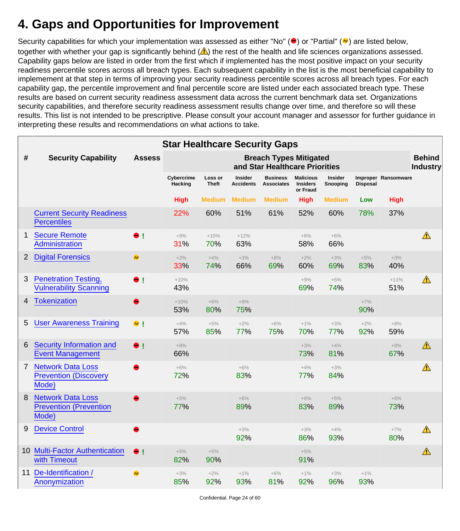#### <span id="page-23-0"></span>**4. Gaps and Opportunities for Improvement**

Security capabilities for which your implementation was assessed as either "No" ( $\bigcirc$ ) or "Partial" ( $\bigcirc$ ) are listed below, together with whether your gap is significantly behind  $(\triangle)$  the rest of the health and life sciences organizations assessed. Capability gaps below are listed in order from the first which if implemented has the most positive impact on your security readiness percentile scores across all breach types. Each subsequent capability in the list is the most beneficial capability to implemement at that step in terms of improving your security readiness percentile scores across all breach types. For each capability gap, the percentile improvement and final percentile score are listed under each associated breach type. These results are based on current security readiness assessment data across the current benchmark data set. Organizations security capabilities, and therefore security readiness assessment results change over time, and therefore so will these results. This list is not intended to be prescriptive. Please consult your account manager and assessor for further guidance in interpreting these results and recommendations on what actions to take.

|                |                                                                    |               | <b>Star Healthcare Security Gaps</b> |                         |                                    |                                                                 |                                                 |                            |                 |                     |                                  |
|----------------|--------------------------------------------------------------------|---------------|--------------------------------------|-------------------------|------------------------------------|-----------------------------------------------------------------|-------------------------------------------------|----------------------------|-----------------|---------------------|----------------------------------|
| #              | <b>Security Capability</b>                                         | <b>Assess</b> |                                      |                         |                                    | <b>Breach Types Mitigated</b><br>and Star Healthcare Priorities |                                                 |                            |                 |                     | <b>Behind</b><br><b>Industry</b> |
|                |                                                                    |               | Cybercrime<br>Hacking                | Loss or<br><b>Theft</b> | <b>Insider</b><br><b>Accidents</b> | <b>Business</b><br><b>Associates</b>                            | <b>Malicious</b><br><b>Insiders</b><br>or Fraud | <b>Insider</b><br>Snooping | <b>Disposal</b> | Improper Ransomware |                                  |
|                |                                                                    |               | <b>High</b>                          | <b>Medium</b>           | <b>Medium</b>                      | <b>Medium</b>                                                   | <b>High</b>                                     | <b>Medium</b>              | Low             | <b>High</b>         |                                  |
|                | <b>Current Security Readiness</b><br><b>Percentiles</b>            |               | 22%                                  | 60%                     | 51%                                | 61%                                                             | 52%                                             | 60%                        | 78%             | 37%                 |                                  |
| 1              | <b>Secure Remote</b><br>Administration                             | $\bullet$ !   | $+9%$<br>31%                         | $+10%$<br>70%           | $+12%$<br>63%                      |                                                                 | $+6%$<br>58%                                    | $+6%$<br>66%               |                 |                     | ⚠                                |
| $\overline{2}$ | <b>Digital Forensics</b>                                           | $\bullet$     | $+2%$<br>33%                         | $+4%$<br>74%            | $+3%$<br>66%                       | $+8%$<br>69%                                                    | $+2%$<br>60%                                    | $+3%$<br>69%               | $+5%$<br>83%    | $+3%$<br>40%        |                                  |
| 3              | <b>Penetration Testing,</b><br><b>Vulnerability Scanning</b>       | $\bullet$ !   | $+10%$<br>43%                        |                         |                                    |                                                                 | $+9%$<br>69%                                    | $+5%$<br>74%               |                 | $+11%$<br>51%       | ⚠                                |
| 4              | <b>Tokenization</b>                                                | $\bullet$     | $+10%$<br>53%                        | $+6%$<br>80%            | $+9%$<br>75%                       |                                                                 |                                                 |                            | $+7%$<br>90%    |                     |                                  |
| 5              | <b>User Awareness Training</b>                                     | $\bullet$ !   | $+4%$<br>57%                         | $+5%$<br>85%            | $+2%$<br>77%                       | $+6%$<br>75%                                                    | $+1%$<br>70%                                    | $+3%$<br>77%               | $+2%$<br>92%    | $+8%$<br>59%        |                                  |
| 6              | Security Information and<br><b>Event Management</b>                | $\bullet$ !   | $+9%$<br>66%                         |                         |                                    |                                                                 | $+3%$<br>73%                                    | $+4%$<br>81%               |                 | $+8%$<br>67%        | $\mathbb{A}$                     |
| 7              | <b>Network Data Loss</b><br><b>Prevention (Discovery</b><br>Mode)  |               | $+6%$<br>72%                         |                         | $+6%$<br>83%                       |                                                                 | $+4%$<br>77%                                    | $+3%$<br>84%               |                 |                     | ⚠                                |
| 8              | <b>Network Data Loss</b><br><b>Prevention (Prevention</b><br>Mode) |               | $+5%$<br>77%                         |                         | $+6\%$<br>89%                      |                                                                 | $+6\%$<br>83%                                   | $+5%$<br>89%               |                 | $+6\%$<br>73%       |                                  |
| 9              | <b>Device Control</b>                                              |               |                                      |                         | $+3%$<br>92%                       |                                                                 | $+3%$<br>86%                                    | $+4%$<br>93%               |                 | $+7%$<br>80%        | $\triangle$                      |
|                | <b>10 Multi-Factor Authentication</b><br>with Timeout              | $\bullet$ !   | $+5%$<br>82%                         | $+5%$<br>90%            |                                    |                                                                 | $+5%$<br>91%                                    |                            |                 |                     | ⚠                                |
| 11             | De-Identification /<br>Anonymization                               | $\bullet$     | $+3%$<br>85%                         | $+2%$<br>92%            | $+1\%$<br>93%                      | $+6%$<br>81%                                                    | $+1\%$<br>92%                                   | $+3%$<br>96%               | $+1%$<br>93%    |                     |                                  |

Confidential. Page 24 of 60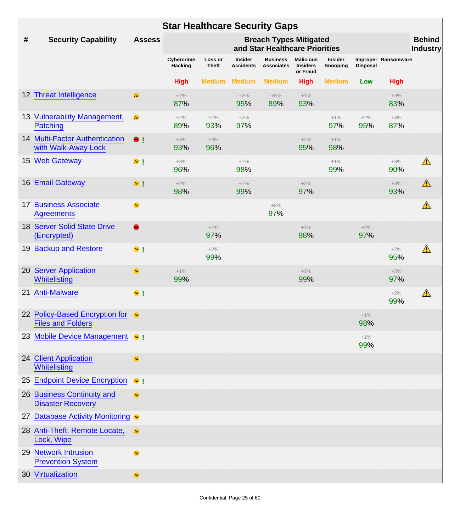|                  |                                                              |               | <b>Star Healthcare Security Gaps</b> |                  |                                    |                                                                 |                                                 |                     |                 |                     |                                  |
|------------------|--------------------------------------------------------------|---------------|--------------------------------------|------------------|------------------------------------|-----------------------------------------------------------------|-------------------------------------------------|---------------------|-----------------|---------------------|----------------------------------|
| $\#$             | <b>Security Capability</b>                                   | <b>Assess</b> |                                      |                  |                                    | <b>Breach Types Mitigated</b><br>and Star Healthcare Priorities |                                                 |                     |                 |                     | <b>Behind</b><br><b>Industry</b> |
|                  |                                                              |               | Cybercrime<br>Hacking                | Loss or<br>Theft | <b>Insider</b><br><b>Accidents</b> | <b>Business</b><br><b>Associates</b>                            | <b>Malicious</b><br><b>Insiders</b><br>or Fraud | Insider<br>Snooping | <b>Disposal</b> | Improper Ransomware |                                  |
|                  |                                                              |               | <b>High</b>                          | <b>Medium</b>    | <b>Medium</b>                      | <b>Medium</b>                                                   | <b>High</b>                                     | <b>Medium</b>       | Low             | <b>High</b>         |                                  |
|                  | 12 Threat Intelligence                                       | $\bullet$     | $+2%$<br>87%                         |                  | $+2%$<br>95%                       | $+8%$<br>89%                                                    | $+1%$<br>93%                                    |                     |                 | $+3%$<br>83%        |                                  |
|                  | 13 Vulnerability Management,<br>Patching                     | $\bullet$     | $+2%$<br>89%                         | $+1\%$<br>93%    | $+2%$<br>97%                       |                                                                 |                                                 | $+1%$<br>97%        | $+2%$<br>95%    | $+4%$<br>87%        |                                  |
|                  | <b>14 Multi-Factor Authentication</b><br>with Walk-Away Lock | $\bullet$     | $+4%$<br>93%                         | $+3%$<br>96%     |                                    |                                                                 | $+2%$<br>95%                                    | $+1%$<br>98%        |                 |                     |                                  |
| 15 <sub>15</sub> | <b>Web Gateway</b>                                           | $\bullet$ !   | $+3%$<br>96%                         |                  | $+1\%$<br>98%                      |                                                                 |                                                 | $+1%$<br>99%        |                 | $+3%$<br>90%        | ⚠                                |
| 16               | <b>Email Gateway</b>                                         | $\bullet$ !   | $+2%$<br>98%                         |                  | $+1%$<br>99%                       |                                                                 | $+2%$<br>97%                                    |                     |                 | $+3%$<br>93%        | ⚠                                |
| 17               | <b>Business Associate</b><br><b>Agreements</b>               | $\bullet$     |                                      |                  |                                    | $+8%$<br>97%                                                    |                                                 |                     |                 |                     | ⚠                                |
| 18               | <b>Server Solid State Drive</b><br>(Encrypted)               | $\bullet$     |                                      | $+1%$<br>97%     |                                    |                                                                 | $+1\%$<br>98%                                   |                     | $+2%$<br>97%    |                     |                                  |
| 19               | <b>Backup and Restore</b>                                    | $\bullet$ !   |                                      | $+2%$<br>99%     |                                    |                                                                 |                                                 |                     |                 | $+2%$<br>95%        | ⚠                                |
| 20               | <b>Server Application</b><br><b>Whitelisting</b>             | $\bullet$     | $+1\%$<br>99%                        |                  |                                    |                                                                 | $+1%$<br>99%                                    |                     |                 | $+2%$<br>97%        |                                  |
| 21               | <b>Anti-Malware</b>                                          | $\bullet$ !   |                                      |                  |                                    |                                                                 |                                                 |                     |                 | $+2%$<br>99%        | ⚠                                |
|                  | 22 Policy-Based Encryption for @<br><b>Files and Folders</b> |               |                                      |                  |                                    |                                                                 |                                                 |                     | $+1%$<br>98%    |                     |                                  |
|                  | 23 Mobile Device Management @ !                              |               |                                      |                  |                                    |                                                                 |                                                 |                     | $+1\%$<br>99%   |                     |                                  |
|                  | 24 Client Application<br>Whitelisting                        | $\bullet$     |                                      |                  |                                    |                                                                 |                                                 |                     |                 |                     |                                  |
|                  | 25 Endpoint Device Encryption                                | $\bullet$ !   |                                      |                  |                                    |                                                                 |                                                 |                     |                 |                     |                                  |
|                  | 26 Business Continuity and<br><b>Disaster Recovery</b>       | $\bullet$     |                                      |                  |                                    |                                                                 |                                                 |                     |                 |                     |                                  |
|                  | 27 Database Activity Monitoring @                            |               |                                      |                  |                                    |                                                                 |                                                 |                     |                 |                     |                                  |
|                  | 28 Anti-Theft: Remote Locate,<br>Lock, Wipe                  | $\bullet$     |                                      |                  |                                    |                                                                 |                                                 |                     |                 |                     |                                  |
|                  | 29 Network Intrusion<br><b>Prevention System</b>             | $\bullet$     |                                      |                  |                                    |                                                                 |                                                 |                     |                 |                     |                                  |
|                  | 30 Virtualization                                            | $\bullet$     |                                      |                  |                                    |                                                                 |                                                 |                     |                 |                     |                                  |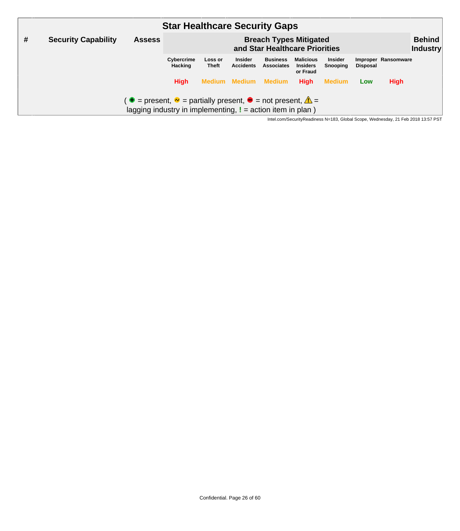|   |                            |                                                                                                                                                            | <b>Star Healthcare Security Gaps</b> |                                                                 |                                    |                                      |                                                 |                            |                                  |                     |  |
|---|----------------------------|------------------------------------------------------------------------------------------------------------------------------------------------------------|--------------------------------------|-----------------------------------------------------------------|------------------------------------|--------------------------------------|-------------------------------------------------|----------------------------|----------------------------------|---------------------|--|
| # | <b>Security Capability</b> | <b>Assess</b>                                                                                                                                              |                                      | <b>Breach Types Mitigated</b><br>and Star Healthcare Priorities |                                    |                                      |                                                 |                            | <b>Behind</b><br><b>Industry</b> |                     |  |
|   |                            |                                                                                                                                                            | Cybercrime<br><b>Hacking</b>         | Loss or<br><b>Theft</b>                                         | <b>Insider</b><br><b>Accidents</b> | <b>Business</b><br><b>Associates</b> | <b>Malicious</b><br><b>Insiders</b><br>or Fraud | <b>Insider</b><br>Snooping | <b>Disposal</b>                  | Improper Ransomware |  |
|   |                            |                                                                                                                                                            | <b>High</b>                          |                                                                 | <b>Medium Medium</b>               | Medium                               | <b>High</b>                                     | <b>Medium</b>              | Low                              | <b>High</b>         |  |
|   |                            | $\bullet$ = present, $\bullet$ = partially present, $\bullet$ = not present, $\triangle$ =<br>lagging industry in implementing, $I =$ action item in plan) |                                      |                                                                 |                                    |                                      |                                                 |                            |                                  |                     |  |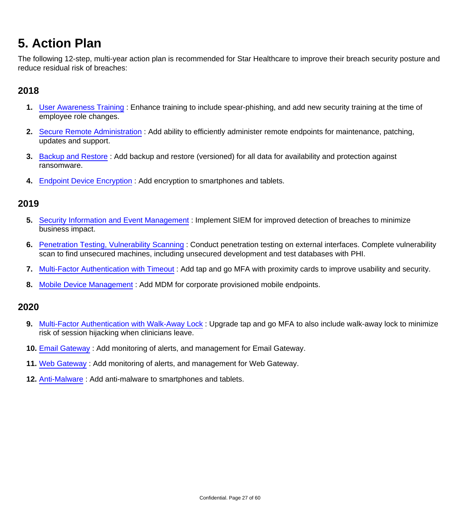### <span id="page-26-0"></span>**5. Action Plan**

The following 12-step, multi-year action plan is recommended for Star Healthcare to improve their breach security posture and reduce residual risk of breaches:

#### **2018**

- **1.** [User Awareness Training](#page-30-0) : Enhance training to include spear-phishing, and add new security training at the time of employee role changes.
- **2.** [Secure Remote Administration](#page-47-0) : Add ability to efficiently administer remote endpoints for maintenance, patching, updates and support.
- **3.** [Backup and Restore](#page-41-0) : Add backup and restore (versioned) for all data for availability and protection against ransomware.
- **4.** [Endpoint Device Encryption](#page-31-0) : Add encryption to smartphones and tablets.

#### **2019**

- **5.** [Security Information and Event Management](#page-53-0) : Implement SIEM for improved detection of breaches to minimize business impact.
- **6.** [Penetration Testing, Vulnerability Scanning](#page-43-0) : Conduct penetration testing on external interfaces. Complete vulnerability scan to find unsecured machines, including unsecured development and test databases with PHI.
- **7.** [Multi-Factor Authentication with Timeout](#page-46-0) : Add tap and go MFA with proximity cards to improve usability and security.
- **8.** [Mobile Device Management](#page-32-0) : Add MDM for corporate provisioned mobile endpoints.

#### **2020**

- **9.** [Multi-Factor Authentication with Walk-Away Lock](#page-55-0) : Upgrade tap and go MFA to also include walk-away lock to minimize risk of session hijacking when clinicians leave.
- **10.** [Email Gateway](#page-36-0) : Add monitoring of alerts, and management for Email Gateway.
- **11.** [Web Gateway](#page-37-0) : Add monitoring of alerts, and management for Web Gateway.
- **12.** [Anti-Malware](#page-33-0) : Add anti-malware to smartphones and tablets.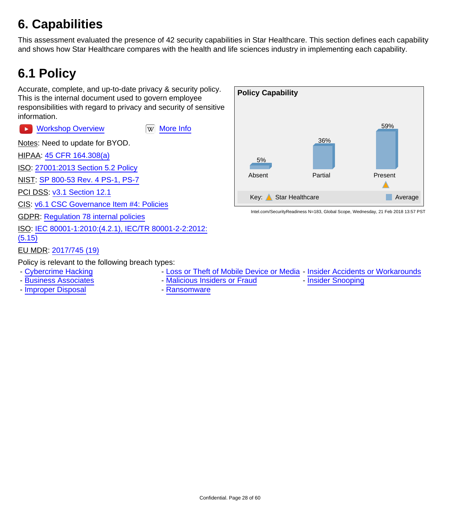## <span id="page-27-0"></span>**6. Capabilities**

This assessment evaluated the presence of 42 security capabilities in Star Healthcare. This section defines each capability and shows how Star Healthcare compares with the health and life sciences industry in implementing each capability.

### <span id="page-27-1"></span>**6.1 Policy**

Accurate, complete, and up-to-date privacy & security policy. This is the internal document used to govern employee responsibilities with regard to privacy and security of sensitive information.

[Workshop Overview](https://www.youtube.com/watch?v=33YVWl1Jux8) **WAG WORKSHOP OVERVIEW**  $\blacktriangleright$ 

Notes: Need to update for BYOD.

HIPAA: [45 CFR 164.308\(a\)](https://www.law.cornell.edu/cfr/text/45/164.308)

ISO: [27001:2013 Section 5.2 Policy](http://www.iso.org/iso/catalogue_detail?csnumber=54534)

NIST: [SP 800-53 Rev. 4 PS-1, PS-7](http://nvlpubs.nist.gov/nistpubs/SpecialPublications/NIST.SP.800-53r4.pdf)

PCI DSS: [v3.1 Section 12.1](https://www.pcisecuritystandards.org/documents/PCI_DSS_v3-1.pdf)

CIS: [v6.1 CSC Governance Item #4: Policies](https://www.cisecurity.org/critical-controls/Library.cfm)

GDPR: [Regulation 78 internal policies](http://ec.europa.eu/justice/data-protection/reform/files/regulation_oj_en.pdf)

ISO: [IEC 80001-1:2010:\(4.2.1\), IEC/TR 80001-2-2:2012:](https://www.iso.org/search/x/query/80001)

[\(5.15\)](https://www.iso.org/search/x/query/80001)

EU MDR: [2017/745 \(19\)](http://eur-lex.europa.eu/legal-content/EN/TXT/HTML/?uri=CELEX:32017R0745&from=EN)

Policy is relevant to the following breach types:

- 
- 
- - [Improper Disposal](#page-17-0) **Access 1** [Ransomware](#page-19-0)
- - [Cybercrime Hacking](#page-5-1)  **[Loss or Theft of Mobile Device or Media](#page-7-0)** [Insider Accidents or Workarounds](#page-9-0)
- - [Business Associates](#page-11-0) The [Malicious Insiders or Fraud](#page-13-0) [Insider Snooping](#page-15-0)
	-

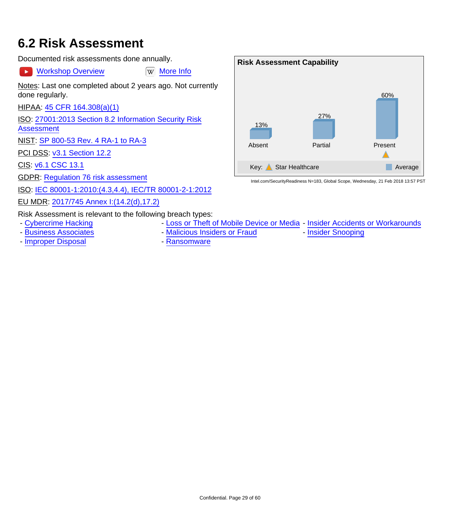#### <span id="page-28-0"></span>**6.2 Risk Assessment**

Documented risk assessments done annually.

 $\blacktriangleright$ 

[Workshop Overview](https://www.youtube.com/watch?v=q9c_2ZzGgsU) [W] [More Info](https://en.wikipedia.org/wiki/Risk_assessment)

Notes: Last one completed about 2 years ago. Not currently done regularly.

HIPAA: [45 CFR 164.308\(a\)\(1\)](https://www.law.cornell.edu/cfr/text/45/164.308)

ISO: [27001:2013 Section 8.2 Information Security Risk](http://www.iso.org/iso/catalogue_detail?csnumber=54534)

[Assessment](http://www.iso.org/iso/catalogue_detail?csnumber=54534)

NIST: [SP 800-53 Rev. 4 RA-1 to RA-3](http://nvlpubs.nist.gov/nistpubs/SpecialPublications/NIST.SP.800-53r4.pdf)

PCI DSS: [v3.1 Section 12.2](https://www.pcisecuritystandards.org/documents/PCI_DSS_v3-1.pdf)

CIS: [v6.1 CSC 13.1](https://www.cisecurity.org/critical-controls/Library.cfm)

GDPR: [Regulation 76 risk assessment](http://ec.europa.eu/justice/data-protection/reform/files/regulation_oj_en.pdf)

ISO: [IEC 80001-1:2010:\(4.3,4.4\), IEC/TR 80001-2-1:2012](https://www.iso.org/search/x/query/80001)

EU MDR: [2017/745 Annex I:\(14.2\(d\),17.2\)](http://eur-lex.europa.eu/legal-content/EN/TXT/HTML/?uri=CELEX:32017R0745&from=EN)

Risk Assessment is relevant to the following breach types:

- 
- - [Business Associates](#page-11-0) [Malicious Insiders or Fraud](#page-13-0) [Insider Snooping](#page-15-0)
- - [Improper Disposal](#page-17-0) **Access 10 Access** [Ransomware](#page-19-0)
- - [Cybercrime Hacking](#page-5-1) The [Loss or Theft of Mobile Device or Media](#page-7-0) [Insider Accidents or Workarounds](#page-9-0)
	-
- 



Confidential. Page 29 of 60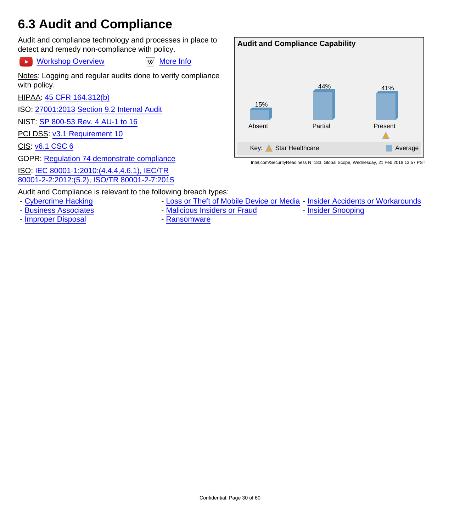### <span id="page-29-0"></span>**6.3 Audit and Compliance**

Audit and compliance technology and processes in place to detect and remedy non-compliance with policy.

[Workshop Overview](https://youtu.be/PQD4Sl9ca8o) WWW [More Info](https://en.wikipedia.org/wiki/Information_technology_security_audit)  $\rightarrow$ Notes: Logging and regular audits done to verify compliance with policy.

HIPAA: [45 CFR 164.312\(b\)](https://www.law.cornell.edu/cfr/text/45/164.312)

ISO: [27001:2013 Section 9.2 Internal Audit](http://www.iso.org/iso/catalogue_detail?csnumber=54534)

NIST: [SP 800-53 Rev. 4 AU-1 to 16](http://nvlpubs.nist.gov/nistpubs/SpecialPublications/NIST.SP.800-53r4.pdf)

PCI DSS: [v3.1 Requirement 10](https://www.pcisecuritystandards.org/documents/PCI_DSS_v3-1.pdf)

CIS: [v6.1 CSC 6](https://www.cisecurity.org/critical-controls/Library.cfm)

GDPR: [Regulation 74 demonstrate compliance](http://ec.europa.eu/justice/data-protection/reform/files/regulation_oj_en.pdf)

ISO: [IEC 80001-1:2010:\(4.4.4,4.6.1\), IEC/TR](https://www.iso.org/search/x/query/80001)

[80001-2-2:2012:\(5.2\), ISO/TR 80001-2-7:2015](https://www.iso.org/search/x/query/80001)



- - [Cybercrime Hacking](#page-5-1)  **[Loss or Theft of Mobile Device or Media](#page-7-0)** [Insider Accidents or Workarounds](#page-9-0)
- 
- - [Business Associates](#page-11-0) [Malicious Insiders or Fraud](#page-13-0) [Insider Snooping](#page-15-0)
- - [Improper Disposal](#page-17-0) **Contact Access** [Ransomware](#page-19-0)
- 

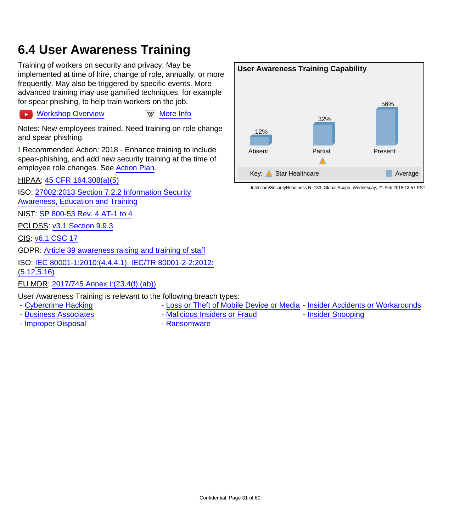#### <span id="page-30-0"></span>**6.4 User Awareness Training**

Training of workers on security and privacy. May be implemented at time of hire, change of role, annually, or more frequently. May also be triggered by specific events. More advanced training may use gamified techniques, for example for spear phishing, to help train workers on the job.

[Workshop Overview](https://youtu.be/kJ8JnsBESlY) **William** [More Info](https://en.wikipedia.org/wiki/Security_awareness)

Notes: New employees trained. Need training on role change and spear phishing.

**!** Recommended Action: 2018 - Enhance training to include spear-phishing, and add new security training at the time of employee role changes. See [Action Plan](#page-26-0).

HIPAA: [45 CFR 164.308\(a\)\(5\)](https://www.law.cornell.edu/cfr/text/45/164.308)

ISO: [27002:2013 Section 7.2.2 Information Security](http://www.iso.org/iso/catalogue_detail?csnumber=54533) [Awareness, Education and Training](http://www.iso.org/iso/catalogue_detail?csnumber=54533)

NIST: [SP 800-53 Rev. 4 AT-1 to 4](http://nvlpubs.nist.gov/nistpubs/SpecialPublications/NIST.SP.800-53r4.pdf)

PCI DSS: [v3.1 Section 9.9.3](https://www.pcisecuritystandards.org/documents/PCI_DSS_v3-1.pdf)

CIS: [v6.1 CSC 17](https://www.cisecurity.org/critical-controls/Library.cfm)

 $\ddot{\phantom{1}}$ 

GDPR: [Article 39 awareness raising and training of staff](http://ec.europa.eu/justice/data-protection/reform/files/regulation_oj_en.pdf)

ISO: [IEC 80001-1:2010:\(4.4.4.1\), IEC/TR 80001-2-2:2012:](https://www.iso.org/search/x/query/80001) [\(5.12,5.16\)](https://www.iso.org/search/x/query/80001)

EU MDR: [2017/745 Annex I:\(23.4\(f\),\(ab\)\)](http://eur-lex.europa.eu/legal-content/EN/TXT/HTML/?uri=CELEX:32017R0745&from=EN)

User Awareness Training is relevant to the following breach types:

- - [Cybercrime Hacking](#page-5-1)  **[Loss or Theft of Mobile Device or Media](#page-7-0)** [Insider Accidents or Workarounds](#page-9-0)
- 
- - [Improper Disposal](#page-17-0)  **[Ransomware](#page-19-0)**
- - [Business Associates](#page-11-0) The [Malicious Insiders or Fraud](#page-13-0) Thisider Snooping
	-

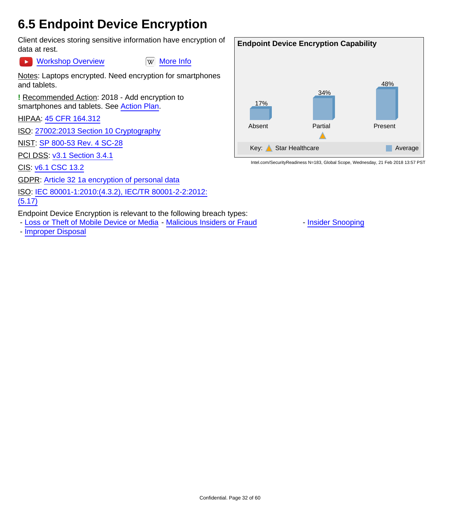#### <span id="page-31-0"></span>**6.5 Endpoint Device Encryption**

Client devices storing sensitive information have encryption of data at rest.

[Workshop Overview](https://youtu.be/HupkImNH0bg) **Ware Information** Workshop Overview  $\rightarrow$ 

Notes: Laptops encrypted. Need encryption for smartphones and tablets.

**!** Recommended Action: 2018 - Add encryption to smartphones and tablets. See [Action Plan.](#page-26-0)

HIPAA: [45 CFR 164.312](https://www.law.cornell.edu/cfr/text/45/164.312)

ISO: [27002:2013 Section 10 Cryptography](http://www.iso.org/iso/catalogue_detail?csnumber=54533)

NIST: [SP 800-53 Rev. 4 SC-28](http://nvlpubs.nist.gov/nistpubs/SpecialPublications/NIST.SP.800-53r4.pdf)

**PCI DSS: [v3.1 Section 3.4.1](https://www.pcisecuritystandards.org/documents/PCI_DSS_v3-1.pdf)** 

CIS: [v6.1 CSC 13.2](https://www.cisecurity.org/critical-controls/Library.cfm)

GDPR: [Article 32 1a encryption of personal data](http://ec.europa.eu/justice/data-protection/reform/files/regulation_oj_en.pdf)

ISO: [IEC 80001-1:2010:\(4.3.2\), IEC/TR 80001-2-2:2012:](https://www.iso.org/search/x/query/80001)

[\(5.17\)](https://www.iso.org/search/x/query/80001)

Endpoint Device Encryption is relevant to the following breach types:

- - [Loss or Theft of Mobile Device or Media](#page-7-0) [Malicious Insiders or Fraud](#page-13-0) [Insider Snooping](#page-15-0)
- - [Improper Disposal](#page-17-0)

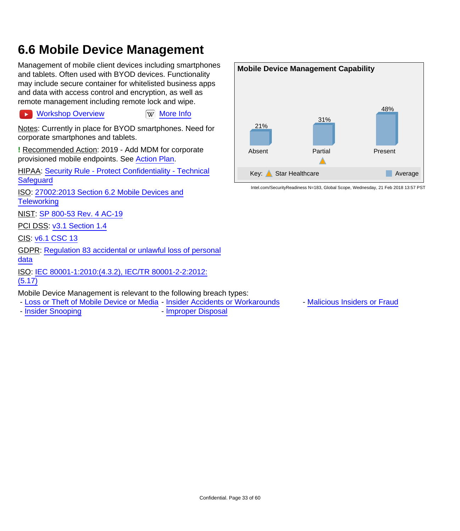### <span id="page-32-0"></span>**6.6 Mobile Device Management**

Management of mobile client devices including smartphones and tablets. Often used with BYOD devices. Functionality may include secure container for whitelisted business apps and data with access control and encryption, as well as remote management including remote lock and wipe.

[Workshop Overview](https://youtu.be/vy14kG_kGvc) **William** [More Info](https://en.wikipedia.org/wiki/Mobile_device_management)

Notes: Currently in place for BYOD smartphones. Need for corporate smartphones and tablets.

**!** Recommended Action: 2019 - Add MDM for corporate provisioned mobile endpoints. See [Action Plan.](#page-26-0)

HIPAA: [Security Rule - Protect Confidentiality - Technical](http://www.hhs.gov/hipaa/for-professionals/security/laws-regulations/) **[Safeguard](http://www.hhs.gov/hipaa/for-professionals/security/laws-regulations/)** 

ISO: [27002:2013 Section 6.2 Mobile Devices and](http://www.iso.org/iso/catalogue_detail?csnumber=54533) **[Teleworking](http://www.iso.org/iso/catalogue_detail?csnumber=54533)** 

NIST: [SP 800-53 Rev. 4 AC-19](http://nvlpubs.nist.gov/nistpubs/SpecialPublications/NIST.SP.800-53r4.pdf)

PCI DSS: [v3.1 Section 1.4](https://www.pcisecuritystandards.org/documents/PCI_DSS_v3-1.pdf)

CIS: [v6.1 CSC 13](https://www.cisecurity.org/critical-controls/Library.cfm)

 $\blacktriangleright$ 

GDPR: [Regulation 83 accidental or unlawful loss of personal](http://ec.europa.eu/justice/data-protection/reform/files/regulation_oj_en.pdf) [data](http://ec.europa.eu/justice/data-protection/reform/files/regulation_oj_en.pdf)

ISO: [IEC 80001-1:2010:\(4.3.2\), IEC/TR 80001-2-2:2012:](https://www.iso.org/search/x/query/80001) [\(5.17\)](https://www.iso.org/search/x/query/80001)

Mobile Device Management is relevant to the following breach types:

- - [Loss or Theft of Mobile Device or Media](#page-7-0) [Insider Accidents or Workarounds](#page-9-0) [Malicious Insiders or Fraud](#page-13-0)
- - [Insider Snooping](#page-15-0)  **[Improper Disposal](#page-17-0)**
- 

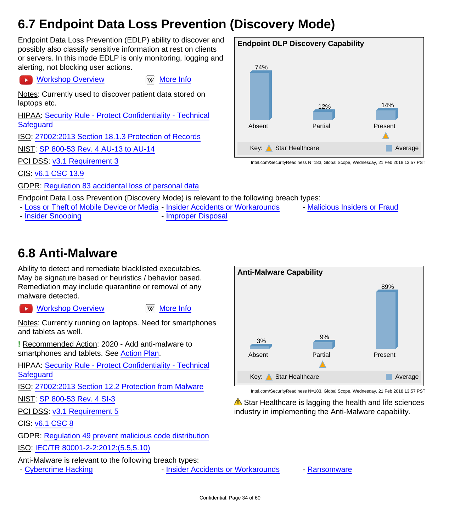## <span id="page-33-1"></span>**6.7 Endpoint Data Loss Prevention (Discovery Mode)**

Endpoint Data Loss Prevention (EDLP) ability to discover and possibly also classify sensitive information at rest on clients or servers. In this mode EDLP is only monitoring, logging and alerting, not blocking user actions.

**[Workshop Overview](https://youtu.be/lBJsxgmBWps) [More Info](https://en.wikipedia.org/wiki/Data_loss_prevention_software)** 

Notes: Currently used to discover patient data stored on laptops etc.

HIPAA: [Security Rule - Protect Confidentiality - Technical](http://www.hhs.gov/hipaa/for-professionals/security/laws-regulations/) **[Safeguard](http://www.hhs.gov/hipaa/for-professionals/security/laws-regulations/)** 

ISO: [27002:2013 Section 18.1.3 Protection of Records](http://www.iso.org/iso/catalogue_detail?csnumber=54533)

NIST: [SP 800-53 Rev. 4 AU-13 to AU-14](http://nvlpubs.nist.gov/nistpubs/SpecialPublications/NIST.SP.800-53r4.pdf)

PCI DSS: [v3.1 Requirement 3](https://www.pcisecuritystandards.org/documents/PCI_DSS_v3-1.pdf)

CIS: [v6.1 CSC 13.9](https://www.cisecurity.org/critical-controls/Library.cfm)

GDPR: [Regulation 83 accidental loss of personal data](http://ec.europa.eu/justice/data-protection/reform/files/regulation_oj_en.pdf)

Endpoint Data Loss Prevention (Discovery Mode) is relevant to the following breach types:

- [Loss or Theft of Mobile Device or Media](#page-7-0) - [Insider Accidents or Workarounds](#page-9-0) - [Malicious Insiders or Fraud](#page-13-0)

- [Insider Snooping](#page-15-0) **- [Improper Disposal](#page-17-0)** 

14%

Present

#### <span id="page-33-0"></span>**6.8 Anti-Malware**

Ability to detect and remediate blacklisted executables. May be signature based or heuristics / behavior based. Remediation may include quarantine or removal of any malware detected.

 $\overline{\phantom{a}}$ 

[Workshop Overview](https://youtu.be/yN0XOmRP-_w) **WAG WANGE IN** [More Info](https://en.wikipedia.org/wiki/Antivirus_software)

Notes: Currently running on laptops. Need for smartphones and tablets as well.

**!** Recommended Action: 2020 - Add anti-malware to smartphones and tablets. See [Action Plan.](#page-26-0)

HIPAA: [Security Rule - Protect Confidentiality - Technical](http://www.hhs.gov/hipaa/for-professionals/security/laws-regulations/) **[Safeguard](http://www.hhs.gov/hipaa/for-professionals/security/laws-regulations/)** 

ISO: [27002:2013 Section 12.2 Protection from Malware](http://www.iso.org/iso/catalogue_detail?csnumber=54533)

NIST: [SP 800-53 Rev. 4 SI-3](http://nvlpubs.nist.gov/nistpubs/SpecialPublications/NIST.SP.800-53r4.pdf)

PCI DSS: [v3.1 Requirement 5](https://www.pcisecuritystandards.org/documents/PCI_DSS_v3-1.pdf)

CIS: [v6.1 CSC 8](https://www.cisecurity.org/critical-controls/Library.cfm)

GDPR: [Regulation 49 prevent malicious code distribution](http://ec.europa.eu/justice/data-protection/reform/files/regulation_oj_en.pdf)

ISO: [IEC/TR 80001-2-2:2012:\(5.5,5.10\)](https://www.iso.org/search/x/query/80001)

Anti-Malware is relevant to the following breach types:

- [Cybercrime Hacking](#page-5-1) Theorem 1996 - [Insider Accidents or Workarounds](#page-9-0) - [Ransomware](#page-19-0)



**Endpoint DLP Discovery Capability**

12%

Partial

Key: Star Healthcare Average

Intel.com/SecurityReadiness N=183, Global Scope, Wednesday, 21 Feb 2018 13:57 PST

74%

Absent

Intel.com/SecurityReadiness N=183, Global Scope, Wednesday, 21 Feb 2018 13:57 PST

Star Healthcare is lagging the health and life sciences industry in implementing the Anti-Malware capability.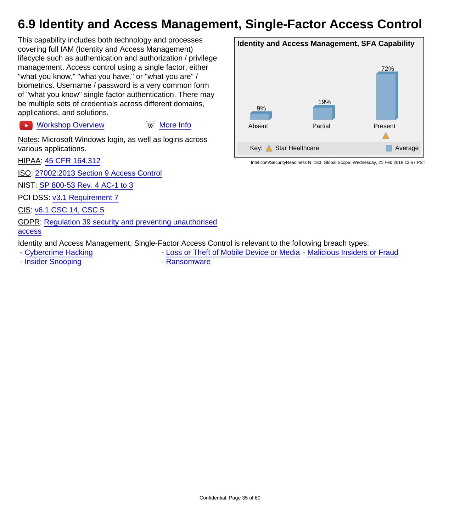### <span id="page-34-0"></span>**6.9 Identity and Access Management, Single-Factor Access Control**

This capability includes both technology and processes covering full IAM (Identity and Access Management) lifecycle such as authentication and authorization / privilege management. Access control using a single factor, either "what you know," "what you have," or "what you are" / biometrics. Username / password is a very common form of "what you know" single factor authentication. There may be multiple sets of credentials across different domains, applications, and solutions.

[Workshop Overview](https://youtu.be/GVrP_bSD-Ac) **Ware Information** Workshop Overview  $\rightarrow$ 

Notes: Microsoft Windows login, as well as logins across various applications.

HIPAA: [45 CFR 164.312](https://www.law.cornell.edu/cfr/text/45/164.312)

ISO: [27002:2013 Section 9 Access Control](http://www.iso.org/iso/catalogue_detail?csnumber=54533)

NIST: [SP 800-53 Rev. 4 AC-1 to 3](http://nvlpubs.nist.gov/nistpubs/SpecialPublications/NIST.SP.800-53r4.pdf)

PCI DSS: [v3.1 Requirement 7](https://www.pcisecuritystandards.org/documents/PCI_DSS_v3-1.pdf)

CIS: [v6.1 CSC 14, CSC 5](https://www.cisecurity.org/critical-controls/Library.cfm)

GDPR: [Regulation 39 security and preventing unauthorised](http://ec.europa.eu/justice/data-protection/reform/files/regulation_oj_en.pdf) [access](http://ec.europa.eu/justice/data-protection/reform/files/regulation_oj_en.pdf)

Identity and Access Management, Single-Factor Access Control is relevant to the following breach types:

- [Cybercrime Hacking](#page-5-1) The [Loss or Theft of Mobile Device or Media](#page-7-0) - [Malicious Insiders or Fraud](#page-13-0)

- [Insider Snooping](#page-15-0) **- [Ransomware](#page-19-0)** 

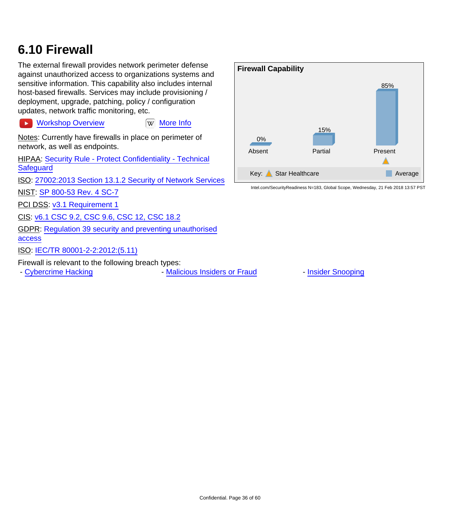### <span id="page-35-0"></span>**6.10 Firewall**

The external firewall provides network perimeter defense against unauthorized access to organizations systems and sensitive information. This capability also includes internal host-based firewalls. Services may include provisioning / deployment, upgrade, patching, policy / configuration updates, network traffic monitoring, etc.

**EX [Workshop Overview](https://youtu.be/ZafPVQA4PRs) [More Info](https://en.wikipedia.org/wiki/Firewall_(computing))** 

Notes: Currently have firewalls in place on perimeter of network, as well as endpoints.

HIPAA: [Security Rule - Protect Confidentiality - Technical](http://www.hhs.gov/hipaa/for-professionals/security/laws-regulations/) **[Safeguard](http://www.hhs.gov/hipaa/for-professionals/security/laws-regulations/)** 

ISO: [27002:2013 Section 13.1.2 Security of Network Services](http://www.iso.org/iso/catalogue_detail?csnumber=54533)

NIST: [SP 800-53 Rev. 4 SC-7](http://nvlpubs.nist.gov/nistpubs/SpecialPublications/NIST.SP.800-53r4.pdf)

PCI DSS: [v3.1 Requirement 1](https://www.pcisecuritystandards.org/documents/PCI_DSS_v3-1.pdf)

CIS: [v6.1 CSC 9.2, CSC 9.6, CSC 12, CSC 18.2](https://www.cisecurity.org/critical-controls/Library.cfm)

GDPR: [Regulation 39 security and preventing unauthorised](http://ec.europa.eu/justice/data-protection/reform/files/regulation_oj_en.pdf) [access](http://ec.europa.eu/justice/data-protection/reform/files/regulation_oj_en.pdf)

ISO: [IEC/TR 80001-2-2:2012:\(5.11\)](https://www.iso.org/search/x/query/80001)

Firewall is relevant to the following breach types:

- [Cybercrime Hacking](#page-5-1) **- [Malicious Insiders or Fraud](#page-13-0)** - [Insider Snooping](#page-15-0)

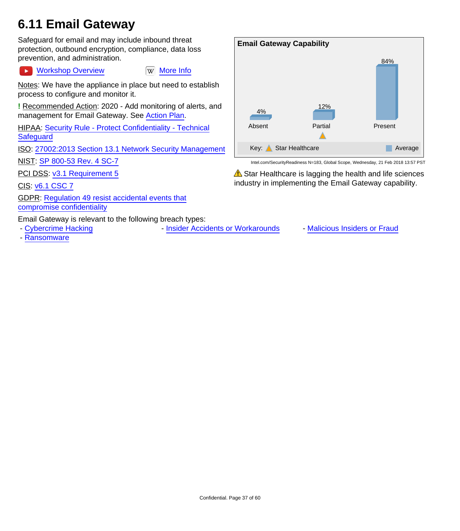### <span id="page-36-0"></span>**6.11 Email Gateway**

Safeguard for email and may include inbound threat protection, outbound encryption, compliance, data loss prevention, and administration.

[Workshop Overview](https://youtu.be/LteY-l9PmHg) WW [More Info](https://en.wikipedia.org/wiki/Email_privacy)  $\blacktriangleright$ 

Notes: We have the appliance in place but need to establish process to configure and monitor it.

**!** Recommended Action: 2020 - Add monitoring of alerts, and management for Email Gateway. See [Action Plan.](#page-26-0)

HIPAA: [Security Rule - Protect Confidentiality - Technical](http://www.hhs.gov/hipaa/for-professionals/security/laws-regulations/) **[Safeguard](http://www.hhs.gov/hipaa/for-professionals/security/laws-regulations/)** 

ISO: [27002:2013 Section 13.1 Network Security Management](http://www.iso.org/iso/catalogue_detail?csnumber=54533)

NIST: [SP 800-53 Rev. 4 SC-7](http://nvlpubs.nist.gov/nistpubs/SpecialPublications/NIST.SP.800-53r4.pdf)

PCI DSS: [v3.1 Requirement 5](https://www.pcisecuritystandards.org/documents/PCI_DSS_v3-1.pdf)

CIS: [v6.1 CSC 7](https://www.cisecurity.org/critical-controls/Library.cfm)

GDPR: [Regulation 49 resist accidental events that](http://ec.europa.eu/justice/data-protection/reform/files/regulation_oj_en.pdf) [compromise confidentiality](http://ec.europa.eu/justice/data-protection/reform/files/regulation_oj_en.pdf)

Email Gateway is relevant to the following breach types:

- 
- - [Ransomware](#page-19-0)

**Email Gateway Capability** 84% 12% 4% Partial Present Absent Δ Key: Star Healthcare Average

Intel.com/SecurityReadiness N=183, Global Scope, Wednesday, 21 Feb 2018 13:57 PST

 $\triangle$  Star Healthcare is lagging the health and life sciences industry in implementing the Email Gateway capability.

- [Cybercrime Hacking](#page-5-1) Theorem - [Insider Accidents or Workarounds](#page-9-0) - [Malicious Insiders or Fraud](#page-13-0)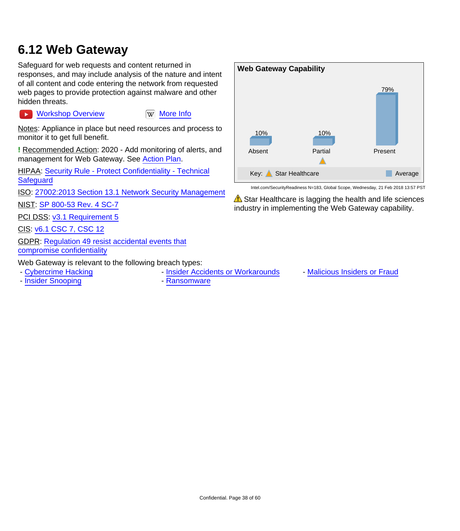#### <span id="page-37-0"></span>**6.12 Web Gateway**

Safeguard for web requests and content returned in responses, and may include analysis of the nature and intent of all content and code entering the network from requested web pages to provide protection against malware and other hidden threats.

Notes: Appliance in place but need resources and process to monitor it to get full benefit.

[Workshop Overview](https://youtu.be/m_yw1TRLCrw) **William** [More Info](https://en.wikipedia.org/wiki/Web_application_security)

**!** Recommended Action: 2020 - Add monitoring of alerts, and management for Web Gateway. See [Action Plan](#page-26-0).

HIPAA: [Security Rule - Protect Confidentiality - Technical](http://www.hhs.gov/hipaa/for-professionals/security/laws-regulations/) **[Safeguard](http://www.hhs.gov/hipaa/for-professionals/security/laws-regulations/)** 

ISO: [27002:2013 Section 13.1 Network Security Management](http://www.iso.org/iso/catalogue_detail?csnumber=54533)

NIST: [SP 800-53 Rev. 4 SC-7](http://nvlpubs.nist.gov/nistpubs/SpecialPublications/NIST.SP.800-53r4.pdf)

PCI DSS: [v3.1 Requirement 5](https://www.pcisecuritystandards.org/documents/PCI_DSS_v3-1.pdf)

CIS: [v6.1 CSC 7, CSC 12](https://www.cisecurity.org/critical-controls/Library.cfm)

 $\blacktriangleright$ 

GDPR: [Regulation 49 resist accidental events that](http://ec.europa.eu/justice/data-protection/reform/files/regulation_oj_en.pdf) [compromise confidentiality](http://ec.europa.eu/justice/data-protection/reform/files/regulation_oj_en.pdf)

Web Gateway is relevant to the following breach types:

- - [Cybercrime Hacking](#page-5-1) Theorem [Insider Accidents or Workarounds](#page-9-0) [Malicious Insiders or Fraud](#page-13-0)
	-

**Web Gateway Capability** 79% 10% 10% Absent Partial Present Δ Key: Star Healthcare Average Average

Intel.com/SecurityReadiness N=183, Global Scope, Wednesday, 21 Feb 2018 13:57 PST

 $\triangle$  Star Healthcare is lagging the health and life sciences industry in implementing the Web Gateway capability.

- - [Insider Snooping](#page-15-0) **Contact Snooping Contact Snooping Contact Snooping Contact Snoop** 
	-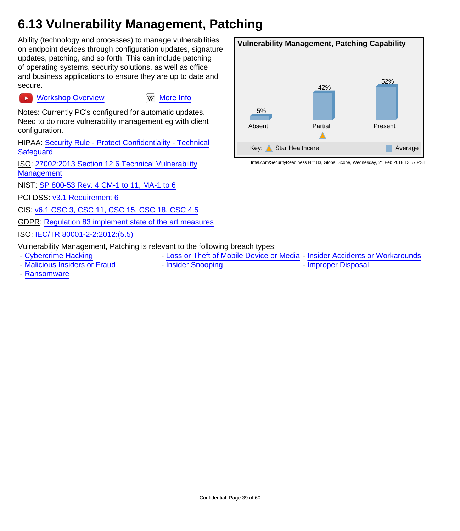## <span id="page-38-0"></span>**6.13 Vulnerability Management, Patching**

Ability (technology and processes) to manage vulnerabilities on endpoint devices through configuration updates, signature updates, patching, and so forth. This can include patching of operating systems, security solutions, as well as office and business applications to ensure they are up to date and secure.

[Workshop Overview](https://youtu.be/Ys2es4kI9uc) **William** Workshop Overview  $\blacktriangleright$ 

Notes: Currently PC's configured for automatic updates. Need to do more vulnerability management eg with client configuration.

HIPAA: [Security Rule - Protect Confidentiality - Technical](http://www.hhs.gov/hipaa/for-professionals/security/laws-regulations/) **[Safeguard](http://www.hhs.gov/hipaa/for-professionals/security/laws-regulations/)** 

ISO: [27002:2013 Section 12.6 Technical Vulnerability](http://www.iso.org/iso/catalogue_detail?csnumber=54533) **[Management](http://www.iso.org/iso/catalogue_detail?csnumber=54533)** 

NIST: [SP 800-53 Rev. 4 CM-1 to 11, MA-1 to 6](http://nvlpubs.nist.gov/nistpubs/SpecialPublications/NIST.SP.800-53r4.pdf)

PCI DSS: [v3.1 Requirement 6](https://www.pcisecuritystandards.org/documents/PCI_DSS_v3-1.pdf)

CIS: [v6.1 CSC 3, CSC 11, CSC 15, CSC 18, CSC 4.5](https://www.cisecurity.org/critical-controls/Library.cfm)

GDPR: [Regulation 83 implement state of the art measures](http://ec.europa.eu/justice/data-protection/reform/files/regulation_oj_en.pdf)

ISO: [IEC/TR 80001-2-2:2012:\(5.5\)](https://www.iso.org/search/x/query/80001)

Vulnerability Management, Patching is relevant to the following breach types:

- - [Cybercrime Hacking](#page-5-1)  **[Loss or Theft of Mobile Device or Media](#page-7-0)** [Insider Accidents or Workarounds](#page-9-0)
- - [Malicious Insiders or Fraud](#page-13-0) [Insider Snooping](#page-15-0) [Improper Disposal](#page-17-0)
- 

- [Ransomware](#page-19-0)

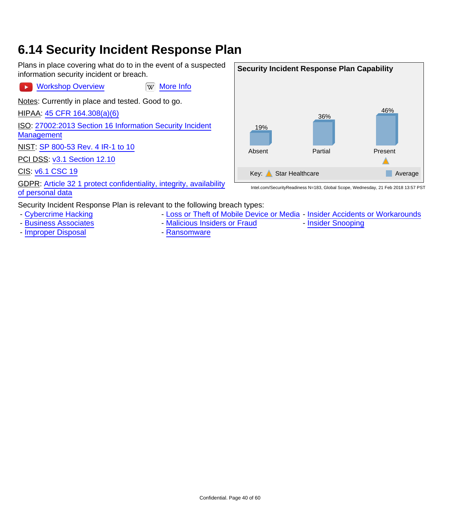#### <span id="page-39-0"></span>**6.14 Security Incident Response Plan**

Plans in place covering what do to in the event of a suspected information security incident or breach.

[Workshop Overview](https://youtu.be/kpK56qiEMhA) WW [More Info](https://en.wikipedia.org/wiki/Computer_security_incident_management)

Notes: Currently in place and tested. Good to go.

HIPAA: [45 CFR 164.308\(a\)\(6\)](https://www.law.cornell.edu/cfr/text/45/164.308)

ISO: [27002:2013 Section 16 Information Security Incident](http://www.iso.org/iso/catalogue_detail?csnumber=54533) **[Management](http://www.iso.org/iso/catalogue_detail?csnumber=54533)** 

NIST: [SP 800-53 Rev. 4 IR-1 to 10](http://nvlpubs.nist.gov/nistpubs/SpecialPublications/NIST.SP.800-53r4.pdf)

PCI DSS: [v3.1 Section 12.10](https://www.pcisecuritystandards.org/documents/PCI_DSS_v3-1.pdf)

CIS: [v6.1 CSC 19](https://www.cisecurity.org/critical-controls/Library.cfm)

 $\ddot{\phantom{1}}$ 

GDPR: [Article 32 1 protect confidentiality, integrity, availability](http://ec.europa.eu/justice/data-protection/reform/files/regulation_oj_en.pdf) [of personal data](http://ec.europa.eu/justice/data-protection/reform/files/regulation_oj_en.pdf)

Security Incident Response Plan is relevant to the following breach types:

- - [Cybercrime Hacking](#page-5-1)  **[Loss or Theft of Mobile Device or Media](#page-7-0)** [Insider Accidents or Workarounds](#page-9-0)
- - [Business Associates](#page-11-0) [Malicious Insiders or Fraud](#page-13-0) [Insider Snooping](#page-15-0)
- - [Improper Disposal](#page-17-0) **Access 20 Figure 2018** [Ransomware](#page-19-0)
- 

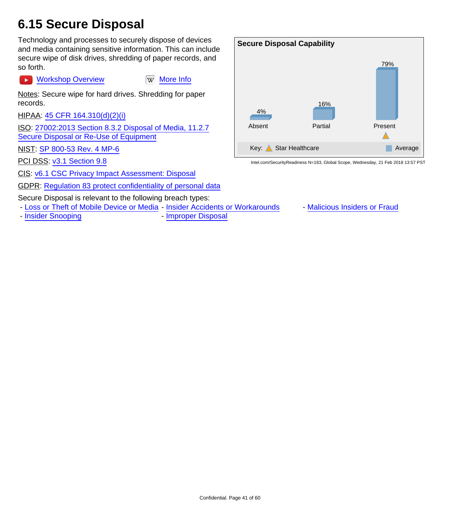### <span id="page-40-0"></span>**6.15 Secure Disposal**

Technology and processes to securely dispose of devices and media containing sensitive information. This can include secure wipe of disk drives, shredding of paper records, and so forth.

**EX [Workshop Overview](https://youtu.be/3Nol0hoyY8A) [More Info](https://en.wikipedia.org/wiki/Data_erasure)** 

Notes: Secure wipe for hard drives. Shredding for paper records.

HIPAA: [45 CFR 164.310\(d\)\(2\)\(i\)](https://www.law.cornell.edu/cfr/text/45/164.310)

ISO: [27002:2013 Section 8.3.2 Disposal of Media, 11.2.7](http://www.iso.org/iso/catalogue_detail?csnumber=54533) [Secure Disposal or Re-Use of Equipment](http://www.iso.org/iso/catalogue_detail?csnumber=54533)

NIST: [SP 800-53 Rev. 4 MP-6](http://nvlpubs.nist.gov/nistpubs/SpecialPublications/NIST.SP.800-53r4.pdf)

PCI DSS: [v3.1 Section 9.8](https://www.pcisecuritystandards.org/documents/PCI_DSS_v3-1.pdf)

CIS: [v6.1 CSC Privacy Impact Assessment: Disposal](https://www.cisecurity.org/critical-controls/Library.cfm)

GDPR: [Regulation 83 protect confidentiality of personal data](http://ec.europa.eu/justice/data-protection/reform/files/regulation_oj_en.pdf)

Secure Disposal is relevant to the following breach types:

- [Loss or Theft of Mobile Device or Media](#page-7-0) - [Insider Accidents or Workarounds](#page-9-0) - [Malicious Insiders or Fraud](#page-13-0)

- [Insider Snooping](#page-15-0) **- [Improper Disposal](#page-17-0)** 

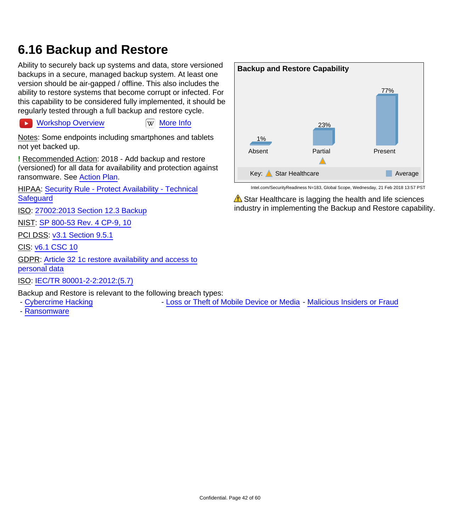#### <span id="page-41-0"></span>**6.16 Backup and Restore**

Ability to securely back up systems and data, store versioned backups in a secure, managed backup system. At least one version should be air-gapped / offline. This also includes the ability to restore systems that become corrupt or infected. For this capability to be considered fully implemented, it should be regularly tested through a full backup and restore cycle.

**[Workshop Overview](https://youtu.be/inT89kE0w30) [More Info](https://en.wikipedia.org/wiki/Backup)** 

Notes: Some endpoints including smartphones and tablets not yet backed up.

**!** Recommended Action: 2018 - Add backup and restore (versioned) for all data for availability and protection against ransomware. See [Action Plan](#page-26-0).

HIPAA: [Security Rule - Protect Availability - Technical](http://www.hhs.gov/hipaa/for-professionals/security/laws-regulations/) **[Safeguard](http://www.hhs.gov/hipaa/for-professionals/security/laws-regulations/)** 

ISO: [27002:2013 Section 12.3 Backup](http://www.iso.org/iso/catalogue_detail?csnumber=54533)

NIST: [SP 800-53 Rev. 4 CP-9, 10](http://nvlpubs.nist.gov/nistpubs/SpecialPublications/NIST.SP.800-53r4.pdf)

PCI DSS: [v3.1 Section 9.5.1](https://www.pcisecuritystandards.org/documents/PCI_DSS_v3-1.pdf)

CIS: [v6.1 CSC 10](https://www.cisecurity.org/critical-controls/Library.cfm)

GDPR: [Article 32 1c restore availability and access to](http://ec.europa.eu/justice/data-protection/reform/files/regulation_oj_en.pdf) [personal data](http://ec.europa.eu/justice/data-protection/reform/files/regulation_oj_en.pdf)

ISO: [IEC/TR 80001-2-2:2012:\(5.7\)](https://www.iso.org/search/x/query/80001)

Backup and Restore is relevant to the following breach types:

- - [Cybercrime Hacking](#page-5-1) The [Loss or Theft of Mobile Device or Media](#page-7-0) [Malicious Insiders or Fraud](#page-13-0)
- - [Ransomware](#page-19-0)



Intel.com/SecurityReadiness N=183, Global Scope, Wednesday, 21 Feb 2018 13:57 PST

 $\triangle$  Star Healthcare is lagging the health and life sciences industry in implementing the Backup and Restore capability.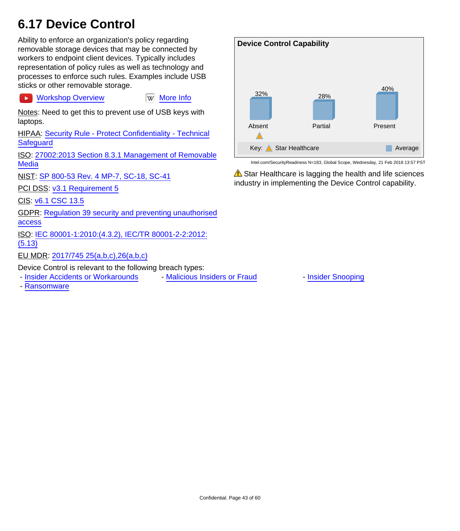### <span id="page-42-0"></span>**6.17 Device Control**

Ability to enforce an organization's policy regarding removable storage devices that may be connected by workers to endpoint client devices. Typically includes representation of policy rules as well as technology and processes to enforce such rules. Examples include USB sticks or other removable storage.

[Workshop Overview](https://youtu.be/HO3XlkcMNzQ) **William** Workshop Overview  $\rightarrow$ 

Notes: Need to get this to prevent use of USB keys with laptops.

HIPAA: [Security Rule - Protect Confidentiality - Technical](http://www.hhs.gov/hipaa/for-professionals/security/laws-regulations/) **[Safeguard](http://www.hhs.gov/hipaa/for-professionals/security/laws-regulations/)** 

ISO: [27002:2013 Section 8.3.1 Management of Removable](http://www.iso.org/iso/catalogue_detail?csnumber=54533) **[Media](http://www.iso.org/iso/catalogue_detail?csnumber=54533)** 

NIST: [SP 800-53 Rev. 4 MP-7, SC-18, SC-41](http://nvlpubs.nist.gov/nistpubs/SpecialPublications/NIST.SP.800-53r4.pdf)

PCI DSS: [v3.1 Requirement 5](https://www.pcisecuritystandards.org/documents/PCI_DSS_v3-1.pdf)

CIS: [v6.1 CSC 13.5](https://www.cisecurity.org/critical-controls/Library.cfm)

GDPR: [Regulation 39 security and preventing unauthorised](http://ec.europa.eu/justice/data-protection/reform/files/regulation_oj_en.pdf) [access](http://ec.europa.eu/justice/data-protection/reform/files/regulation_oj_en.pdf)

ISO: [IEC 80001-1:2010:\(4.3.2\), IEC/TR 80001-2-2:2012:](https://www.iso.org/search/x/query/80001) [\(5.13\)](https://www.iso.org/search/x/query/80001)

EU MDR: [2017/745 25\(a,b,c\),26\(a,b,c\)](http://eur-lex.europa.eu/legal-content/EN/TXT/HTML/?uri=CELEX:32017R0745&from=EN)

Device Control is relevant to the following breach types:

- [Insider Accidents or Workarounds](#page-9-0) - [Malicious Insiders or Fraud](#page-13-0) - [Insider Snooping](#page-15-0)

- [Ransomware](#page-19-0)



Intel.com/SecurityReadiness N=183, Global Scope, Wednesday, 21 Feb 2018 13:57 PST

 $\triangle$  Star Healthcare is lagging the health and life sciences industry in implementing the Device Control capability.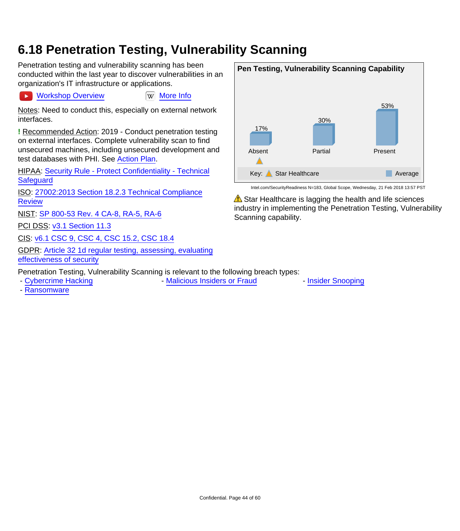#### <span id="page-43-0"></span>**6.18 Penetration Testing, Vulnerability Scanning**

Penetration testing and vulnerability scanning has been conducted within the last year to discover vulnerabilities in an organization's IT infrastructure or applications.

[Workshop Overview](https://youtu.be/E5Hw35SMy-o) WWW [More Info](https://en.wikipedia.org/wiki/Penetration_test)

Notes: Need to conduct this, especially on external network interfaces.

**!** Recommended Action: 2019 - Conduct penetration testing on external interfaces. Complete vulnerability scan to find unsecured machines, including unsecured development and test databases with PHI. See [Action Plan](#page-26-0).

HIPAA: [Security Rule - Protect Confidentiality - Technical](http://www.hhs.gov/hipaa/for-professionals/security/laws-regulations/) **[Safeguard](http://www.hhs.gov/hipaa/for-professionals/security/laws-regulations/)** 

ISO: [27002:2013 Section 18.2.3 Technical Compliance](http://www.iso.org/iso/catalogue_detail?csnumber=54533) **[Review](http://www.iso.org/iso/catalogue_detail?csnumber=54533)** 

NIST: [SP 800-53 Rev. 4 CA-8, RA-5, RA-6](http://nvlpubs.nist.gov/nistpubs/SpecialPublications/NIST.SP.800-53r4.pdf)

PCI DSS: [v3.1 Section 11.3](https://www.pcisecuritystandards.org/documents/PCI_DSS_v3-1.pdf)

CIS: [v6.1 CSC 9, CSC 4, CSC 15.2, CSC 18.4](https://www.cisecurity.org/critical-controls/Library.cfm)

GDPR: [Article 32 1d regular testing, assessing, evaluating](http://ec.europa.eu/justice/data-protection/reform/files/regulation_oj_en.pdf) [effectiveness of security](http://ec.europa.eu/justice/data-protection/reform/files/regulation_oj_en.pdf)

Penetration Testing, Vulnerability Scanning is relevant to the following breach types:

- [Cybercrime Hacking](#page-5-1) **- [Malicious Insiders or Fraud](#page-13-0)** - [Insider Snooping](#page-15-0)

- [Ransomware](#page-19-0)



 $\triangle$  Star Healthcare is lagging the health and life sciences industry in implementing the Penetration Testing, Vulnerability

Scanning capability.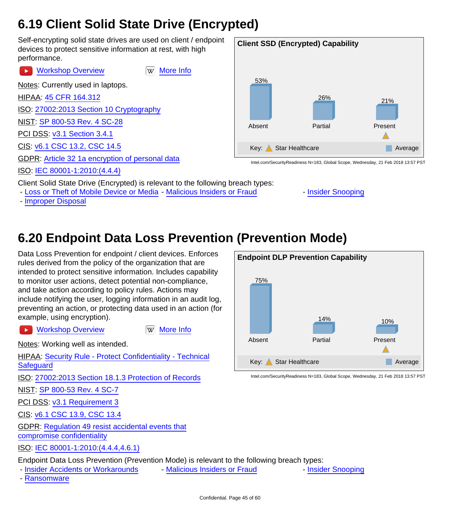### <span id="page-44-0"></span>**6.19 Client Solid State Drive (Encrypted)**

Self-encrypting solid state drives are used on client / endpoint devices to protect sensitive information at rest, with high performance.

| <b>EX</b> Workshop Overview<br>More Info<br>W                                                                                       |
|-------------------------------------------------------------------------------------------------------------------------------------|
| Notes: Currently used in laptops.                                                                                                   |
| HIPAA: 45 CFR 164.312                                                                                                               |
| ISO: 27002:2013 Section 10 Cryptography                                                                                             |
| NIST: SP 800-53 Rev. 4 SC-28                                                                                                        |
| PCI DSS: v3.1 Section 3.4.1                                                                                                         |
| CIS: v6.1 CSC 13.2, CSC 14.5                                                                                                        |
| GDPR: Article 32 1a encryption of personal data                                                                                     |
| ISO: IEC 80001-1:2010:(4.4.4)                                                                                                       |
| Client Solid State Drive (Encrypted) is relevant to the following<br>- Loss or Theft of Mobile Device or Media - Malicious Insiders |



Intel.com/SecurityReadiness N=183, Global Scope, Wednesday, 21 Feb 2018 13:57 PST

breach types:

- or Fraud  **[Insider Snooping](#page-15-0)**
- - [Improper Disposal](#page-17-0)

## <span id="page-44-1"></span>**6.20 Endpoint Data Loss Prevention (Prevention Mode)**

Data Loss Prevention for endpoint / client devices. Enforces rules derived from the policy of the organization that are intended to protect sensitive information. Includes capability to monitor user actions, detect potential non-compliance, and take action according to policy rules. Actions may include notifying the user, logging information in an audit log, preventing an action, or protecting data used in an action (for example, using encryption).

[Workshop Overview](https://youtu.be/aCVI-e6n8YM) **WAG WANGE IN** [More Info](https://en.wikipedia.org/wiki/Data_loss_prevention_software)  $\rightarrow$ 

Notes: Working well as intended.

HIPAA: [Security Rule - Protect Confidentiality - Technical](http://www.hhs.gov/hipaa/for-professionals/security/laws-regulations/) **[Safeguard](http://www.hhs.gov/hipaa/for-professionals/security/laws-regulations/)** 

ISO: [27002:2013 Section 18.1.3 Protection of Records](http://www.iso.org/iso/catalogue_detail?csnumber=54533)

NIST: [SP 800-53 Rev. 4 SC-7](http://nvlpubs.nist.gov/nistpubs/SpecialPublications/NIST.SP.800-53r4.pdf)

PCI DSS: [v3.1 Requirement 3](https://www.pcisecuritystandards.org/documents/PCI_DSS_v3-1.pdf)

CIS: [v6.1 CSC 13.9, CSC 13.4](https://www.cisecurity.org/critical-controls/Library.cfm)

GDPR: [Regulation 49 resist accidental events that](http://ec.europa.eu/justice/data-protection/reform/files/regulation_oj_en.pdf) [compromise confidentiality](http://ec.europa.eu/justice/data-protection/reform/files/regulation_oj_en.pdf)

ISO: [IEC 80001-1:2010:\(4.4.4,4.6.1\)](https://www.iso.org/search/x/query/80001)

Endpoint Data Loss Prevention (Prevention Mode) is relevant to the following breach types:

- - [Insider Accidents or Workarounds](#page-9-0) [Malicious Insiders or Fraud](#page-13-0) [Insider Snooping](#page-15-0)
	-

- [Ransomware](#page-19-0)

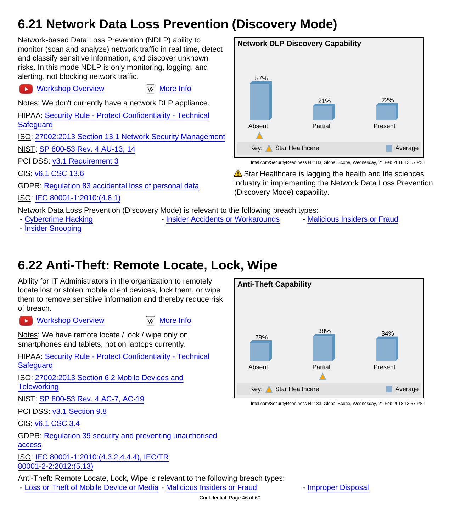## <span id="page-45-0"></span>**6.21 Network Data Loss Prevention (Discovery Mode)**

Network-based Data Loss Prevention (NDLP) ability to monitor (scan and analyze) network traffic in real time, detect and classify sensitive information, and discover unknown risks. In this mode NDLP is only monitoring, logging, and alerting, not blocking network traffic.

Notes: We don't currently have a network DLP appliance.

[Workshop Overview](https://youtu.be/UOYD0FeUEm0) **Ware Information** Workshop Overview

HIPAA: [Security Rule - Protect Confidentiality - Technical](http://www.hhs.gov/hipaa/for-professionals/security/laws-regulations/) **[Safeguard](http://www.hhs.gov/hipaa/for-professionals/security/laws-regulations/)** 

ISO: [27002:2013 Section 13.1 Network Security Management](http://www.iso.org/iso/catalogue_detail?csnumber=54533)

NIST: [SP 800-53 Rev. 4 AU-13, 14](http://nvlpubs.nist.gov/nistpubs/SpecialPublications/NIST.SP.800-53r4.pdf)

PCI DSS: [v3.1 Requirement 3](https://www.pcisecuritystandards.org/documents/PCI_DSS_v3-1.pdf)

CIS: [v6.1 CSC 13.6](https://www.cisecurity.org/critical-controls/Library.cfm)

 $\rightarrow$ 

GDPR: [Regulation 83 accidental loss of personal data](http://ec.europa.eu/justice/data-protection/reform/files/regulation_oj_en.pdf)



Network Data Loss Prevention (Discovery Mode) is relevant to the following breach types:

- [Insider Snooping](#page-15-0)

- [Cybercrime Hacking](#page-5-1) Theorem - [Insider Accidents or Workarounds](#page-9-0) - [Malicious Insiders or Fraud](#page-13-0)

22%

Present

**Network DLP Discovery Capability**

21%

Partial

Key: Star Healthcare Average

 $\triangle$  Star Healthcare is lagging the health and life sciences industry in implementing the Network Data Loss Prevention

Intel.com/SecurityReadiness N=183, Global Scope, Wednesday, 21 Feb 2018 13:57 PST

57%

Absent

(Discovery Mode) capability.

# <span id="page-45-1"></span>**6.22 Anti-Theft: Remote Locate, Lock, Wipe**

Ability for IT Administrators in the organization to remotely locate lost or stolen mobile client devices, lock them, or wipe them to remove sensitive information and thereby reduce risk of breach.

**EX [Workshop Overview](https://youtu.be/i5rsPxCS9Uw) [More Info](https://en.wikipedia.org/wiki/Anti-theft_system)** 

Notes: We have remote locate / lock / wipe only on smartphones and tablets, not on laptops currently.

HIPAA: [Security Rule - Protect Confidentiality - Technical](http://www.hhs.gov/hipaa/for-professionals/security/laws-regulations/) **[Safeguard](http://www.hhs.gov/hipaa/for-professionals/security/laws-regulations/)** 

ISO: [27002:2013 Section 6.2 Mobile Devices and](http://www.iso.org/iso/catalogue_detail?csnumber=54533) **[Teleworking](http://www.iso.org/iso/catalogue_detail?csnumber=54533)** 

NIST: [SP 800-53 Rev. 4 AC-7, AC-19](http://nvlpubs.nist.gov/nistpubs/SpecialPublications/NIST.SP.800-53r4.pdf)

PCI DSS: [v3.1 Section 9.8](https://www.pcisecuritystandards.org/documents/PCI_DSS_v3-1.pdf)

CIS: [v6.1 CSC 3.4](https://www.cisecurity.org/critical-controls/Library.cfm)

GDPR: [Regulation 39 security and preventing unauthorised](http://ec.europa.eu/justice/data-protection/reform/files/regulation_oj_en.pdf) [access](http://ec.europa.eu/justice/data-protection/reform/files/regulation_oj_en.pdf)

ISO: [IEC 80001-1:2010:\(4.3.2,4.4.4\), IEC/TR](https://www.iso.org/search/x/query/80001) [80001-2-2:2012:\(5.13\)](https://www.iso.org/search/x/query/80001)

Anti-Theft: Remote Locate, Lock, Wipe is relevant to the following breach types:

- [Loss or Theft of Mobile Device or Media](#page-7-0) - [Malicious Insiders or Fraud](#page-13-0) - [Improper Disposal](#page-17-0)



Intel.com/SecurityReadiness N=183, Global Scope, Wednesday, 21 Feb 2018 13:57 PST

Confidential. Page 46 of 60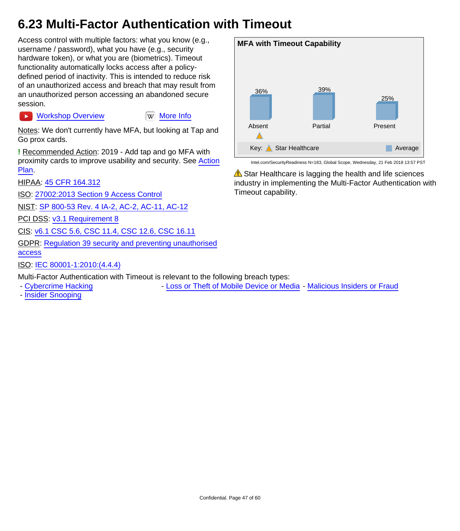### <span id="page-46-0"></span>**6.23 Multi-Factor Authentication with Timeout**

Access control with multiple factors: what you know (e.g., username / password), what you have (e.g., security hardware token), or what you are (biometrics). Timeout functionality automatically locks access after a policydefined period of inactivity. This is intended to reduce risk of an unauthorized access and breach that may result from an unauthorized person accessing an abandoned secure session.

**EX [Workshop Overview](https://youtu.be/B5pTnBL0ptk) [More Info](https://en.wikipedia.org/wiki/Multi-factor_authentication)** 

Notes: We don't currently have MFA, but looking at Tap and Go prox cards.

**!** Recommended Action: 2019 - Add tap and go MFA with proximity cards to improve usability and security. See [Action](#page-26-0) [Plan](#page-26-0).

HIPAA: [45 CFR 164.312](https://www.law.cornell.edu/cfr/text/45/164.312)

ISO: [27002:2013 Section 9 Access Control](http://www.iso.org/iso/catalogue_detail?csnumber=54533)

NIST: [SP 800-53 Rev. 4 IA-2, AC-2, AC-11, AC-12](http://nvlpubs.nist.gov/nistpubs/SpecialPublications/NIST.SP.800-53r4.pdf)

PCI DSS: [v3.1 Requirement 8](https://www.pcisecuritystandards.org/documents/PCI_DSS_v3-1.pdf)

CIS: [v6.1 CSC 5.6, CSC 11.4, CSC 12.6, CSC 16.11](https://www.cisecurity.org/critical-controls/Library.cfm)

GDPR: [Regulation 39 security and preventing unauthorised](http://ec.europa.eu/justice/data-protection/reform/files/regulation_oj_en.pdf) [access](http://ec.europa.eu/justice/data-protection/reform/files/regulation_oj_en.pdf)

ISO: [IEC 80001-1:2010:\(4.4.4\)](https://www.iso.org/search/x/query/80001)

Multi-Factor Authentication with Timeout is relevant to the following breach types:

- - [Cybercrime Hacking](#page-5-1) Theft of Mobile Device or Media [Malicious Insiders or Fraud](#page-13-0)
- - [Insider Snooping](#page-15-0)



Intel.com/SecurityReadiness N=183, Global Scope, Wednesday, 21 Feb 2018 13:57 PST

 $\triangle$  Star Healthcare is lagging the health and life sciences industry in implementing the Multi-Factor Authentication with Timeout capability.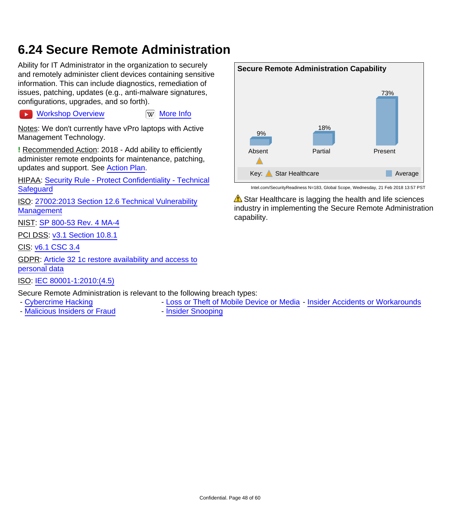#### <span id="page-47-0"></span>**6.24 Secure Remote Administration**

Ability for IT Administrator in the organization to securely and remotely administer client devices containing sensitive information. This can include diagnostics, remediation of issues, patching, updates (e.g., anti-malware signatures, configurations, upgrades, and so forth).

[Workshop Overview](https://youtu.be/YiElYvyhgxM) **William** [More Info](https://en.wikipedia.org/wiki/Remote_administration)

Notes: We don't currently have vPro laptops with Active Management Technology.

**!** Recommended Action: 2018 - Add ability to efficiently administer remote endpoints for maintenance, patching, updates and support. See [Action Plan.](#page-26-0)

HIPAA: [Security Rule - Protect Confidentiality - Technical](http://www.hhs.gov/hipaa/for-professionals/security/laws-regulations/) **[Safeguard](http://www.hhs.gov/hipaa/for-professionals/security/laws-regulations/)** 

ISO: [27002:2013 Section 12.6 Technical Vulnerability](http://www.iso.org/iso/catalogue_detail?csnumber=54533) **[Management](http://www.iso.org/iso/catalogue_detail?csnumber=54533)** 

NIST: [SP 800-53 Rev. 4 MA-4](http://nvlpubs.nist.gov/nistpubs/SpecialPublications/NIST.SP.800-53r4.pdf)

**PCI DSS: [v3.1 Section 10.8.1](https://www.pcisecuritystandards.org/documents/PCI_DSS_v3-1.pdf)** 

CIS: [v6.1 CSC 3.4](https://www.cisecurity.org/critical-controls/Library.cfm)

 $\ddot{\phantom{1}}$ 

GDPR: [Article 32 1c restore availability and access to](http://ec.europa.eu/justice/data-protection/reform/files/regulation_oj_en.pdf) [personal data](http://ec.europa.eu/justice/data-protection/reform/files/regulation_oj_en.pdf)

ISO: [IEC 80001-1:2010:\(4.5\)](https://www.iso.org/search/x/query/80001)

Secure Remote Administration is relevant to the following breach types:

- - [Cybercrime Hacking](#page-5-1)  **[Loss or Theft of Mobile Device or Media](#page-7-0)** [Insider Accidents or Workarounds](#page-9-0)
- - [Malicious Insiders or Fraud](#page-13-0) [Insider Snooping](#page-15-0)

Key: Star Healthcare Average Average Intel.com/SecurityReadiness N=183, Global Scope, Wednesday, 21 Feb 2018 13:57 PST  $\triangle$  Star Healthcare is lagging the health and life sciences

Partial

18%

73%

Present

**Secure Remote Administration Capability**

9%

Absent

industry in implementing the Secure Remote Administration capability.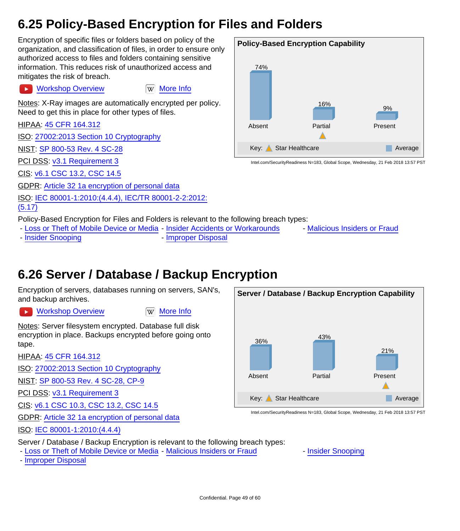### <span id="page-48-0"></span>**6.25 Policy-Based Encryption for Files and Folders**

Encryption of specific files or folders based on policy of the organization, and classification of files, in order to ensure only authorized access to files and folders containing sensitive information. This reduces risk of unauthorized access and mitigates the risk of breach.

Notes: X-Ray images are automatically encrypted per policy. Need to get this in place for other types of files.

[Workshop Overview](https://youtu.be/MXSN8nWuMJQ) **W** [More Info](https://en.wikipedia.org/wiki/Encryption)

HIPAA: [45 CFR 164.312](https://www.law.cornell.edu/cfr/text/45/164.312)

ISO: [27002:2013 Section 10 Cryptography](http://www.iso.org/iso/catalogue_detail?csnumber=54533)

NIST: [SP 800-53 Rev. 4 SC-28](http://nvlpubs.nist.gov/nistpubs/SpecialPublications/NIST.SP.800-53r4.pdf)

PCI DSS: [v3.1 Requirement 3](https://www.pcisecuritystandards.org/documents/PCI_DSS_v3-1.pdf)

CIS: [v6.1 CSC 13.2, CSC 14.5](https://www.cisecurity.org/critical-controls/Library.cfm)

GDPR: [Article 32 1a encryption of personal data](http://ec.europa.eu/justice/data-protection/reform/files/regulation_oj_en.pdf)

ISO: [IEC 80001-1:2010:\(4.4.4\), IEC/TR 80001-2-2:2012:](https://www.iso.org/search/x/query/80001)

[\(5.17\)](https://www.iso.org/search/x/query/80001)

Policy-Based Encryption for Files and Folders is relevant to the following breach types:

- - [Loss or Theft of Mobile Device or Media](#page-7-0) [Insider Accidents or Workarounds](#page-9-0) [Malicious Insiders or Fraud](#page-13-0) - [Insider Snooping](#page-15-0) **- [Improper Disposal](#page-17-0)**
- 
- 
- <span id="page-48-1"></span>**6.26 Server / Database / Backup Encryption**

Encryption of servers, databases running on servers, SAN's, and backup archives.

[Workshop Overview](https://youtu.be/cb9ifeHyG_Y) **[More Info](https://en.wikipedia.org/wiki/Encryption)** 

Notes: Server filesystem encrypted. Database full disk encryption in place. Backups encrypted before going onto tape.

HIPAA: [45 CFR 164.312](https://www.law.cornell.edu/cfr/text/45/164.312)

ISO: [27002:2013 Section 10 Cryptography](http://www.iso.org/iso/catalogue_detail?csnumber=54533)

NIST: [SP 800-53 Rev. 4 SC-28, CP-9](http://nvlpubs.nist.gov/nistpubs/SpecialPublications/NIST.SP.800-53r4.pdf)

PCI DSS: [v3.1 Requirement 3](https://www.pcisecuritystandards.org/documents/PCI_DSS_v3-1.pdf)

CIS: [v6.1 CSC 10.3, CSC 13.2, CSC 14.5](https://www.cisecurity.org/critical-controls/Library.cfm)

GDPR: [Article 32 1a encryption of personal data](http://ec.europa.eu/justice/data-protection/reform/files/regulation_oj_en.pdf)

ISO: [IEC 80001-1:2010:\(4.4.4\)](https://www.iso.org/search/x/query/80001)

Server / Database / Backup Encryption is relevant to the following breach types:

- - [Loss or Theft of Mobile Device or Media](#page-7-0) [Malicious Insiders or Fraud](#page-13-0) [Insider Snooping](#page-15-0)
- - [Improper Disposal](#page-17-0)



Intel.com/SecurityReadiness N=183, Global Scope, Wednesday, 21 Feb 2018 13:57 PST

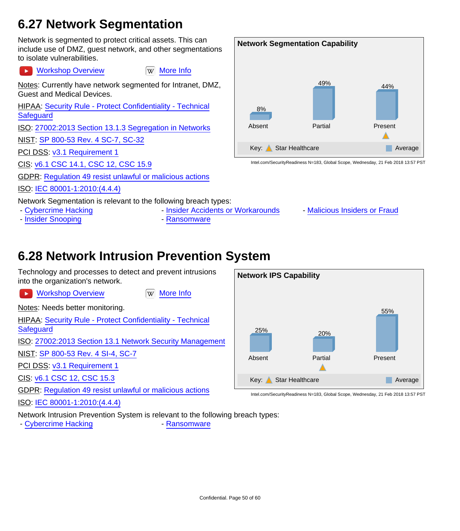### <span id="page-49-0"></span>**6.27 Network Segmentation**

Network is segmented to protect critical assets. This can include use of DMZ, guest network, and other segmentations to isolate vulnerabilities.

[Workshop Overview](https://youtu.be/3OFlyoWTptQ) **WAG WARD [More Info](https://en.wikipedia.org/wiki/Network_segmentation)**  $\ddot{\phantom{1}}$ 

Notes: Currently have network segmented for Intranet, DMZ, Guest and Medical Devices.

HIPAA: [Security Rule - Protect Confidentiality - Technical](http://www.hhs.gov/hipaa/for-professionals/security/laws-regulations/) **[Safeguard](http://www.hhs.gov/hipaa/for-professionals/security/laws-regulations/)** 

ISO: [27002:2013 Section 13.1.3 Segregation in Networks](http://www.iso.org/iso/catalogue_detail?csnumber=54533)

NIST: [SP 800-53 Rev. 4 SC-7, SC-32](http://nvlpubs.nist.gov/nistpubs/SpecialPublications/NIST.SP.800-53r4.pdf)

PCI DSS: [v3.1 Requirement 1](https://www.pcisecuritystandards.org/documents/PCI_DSS_v3-1.pdf)

CIS: [v6.1 CSC 14.1, CSC 12, CSC 15.9](https://www.cisecurity.org/critical-controls/Library.cfm)

GDPR: [Regulation 49 resist unlawful or malicious actions](http://ec.europa.eu/justice/data-protection/reform/files/regulation_oj_en.pdf)

ISO: [IEC 80001-1:2010:\(4.4.4\)](https://www.iso.org/search/x/query/80001)

Network Segmentation is relevant to the following breach types:

- 
- - [Insider Snooping](#page-15-0)  **[Ransomware](#page-19-0)**
- - [Cybercrime Hacking](#page-5-1) Theorem [Insider Accidents or Workarounds](#page-9-0) [Malicious Insiders or Fraud](#page-13-0)
	-

#### <span id="page-49-1"></span>**6.28 Network Intrusion Prevention System**

Technology and processes to detect and prevent intrusions into the organization's network.

**EX [Workshop Overview](https://youtu.be/6ScCbArb3g0) [More Info](https://en.wikipedia.org/wiki/Intrusion_prevention_system)** 

Notes: Needs better monitoring.

HIPAA: [Security Rule - Protect Confidentiality - Technical](http://www.hhs.gov/hipaa/for-professionals/security/laws-regulations/) **[Safeguard](http://www.hhs.gov/hipaa/for-professionals/security/laws-regulations/)** 

ISO: [27002:2013 Section 13.1 Network Security Management](http://www.iso.org/iso/catalogue_detail?csnumber=54533)

NIST: [SP 800-53 Rev. 4 SI-4, SC-7](http://nvlpubs.nist.gov/nistpubs/SpecialPublications/NIST.SP.800-53r4.pdf)

PCI DSS: [v3.1 Requirement 1](https://www.pcisecuritystandards.org/documents/PCI_DSS_v3-1.pdf)

CIS: [v6.1 CSC 12, CSC 15.3](https://www.cisecurity.org/critical-controls/Library.cfm)

GDPR: [Regulation 49 resist unlawful or malicious actions](http://ec.europa.eu/justice/data-protection/reform/files/regulation_oj_en.pdf)

ISO: [IEC 80001-1:2010:\(4.4.4\)](https://www.iso.org/search/x/query/80001)

Network Intrusion Prevention System is relevant to the following breach types:

- [Cybercrime Hacking](#page-5-1) **- [Ransomware](#page-19-0)** 



Intel.com/SecurityReadiness N=183, Global Scope, Wednesday, 21 Feb 2018 13:57 PST

**Network Segmentation Capability** 8% Absent 49% Partial 44% Present Key: Star Healthcare Average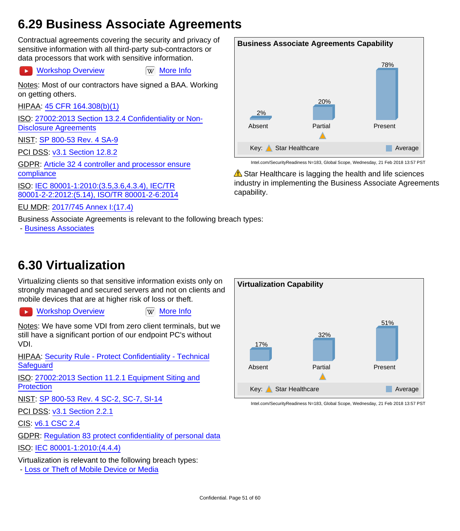#### <span id="page-50-1"></span>**6.29 Business Associate Agreements**

Contractual agreements covering the security and privacy of sensitive information with all third-party sub-contractors or data processors that work with sensitive information.

[Workshop Overview](https://youtu.be/cw4f6wzsv_4) WWW [More Info](http://www.ehow.com/about_6304836_business-associate-agreement_.html)  $\sim$ 

Notes: Most of our contractors have signed a BAA. Working on getting others.

HIPAA: [45 CFR 164.308\(b\)\(1\)](https://www.law.cornell.edu/cfr/text/45/164.308)

ISO: [27002:2013 Section 13.2.4 Confidentiality or Non-](http://www.iso.org/iso/catalogue_detail?csnumber=54533)[Disclosure Agreements](http://www.iso.org/iso/catalogue_detail?csnumber=54533)

NIST: [SP 800-53 Rev. 4 SA-9](http://nvlpubs.nist.gov/nistpubs/SpecialPublications/NIST.SP.800-53r4.pdf)

PCI DSS: [v3.1 Section 12.8.2](https://www.pcisecuritystandards.org/documents/PCI_DSS_v3-1.pdf)

GDPR: [Article 32 4 controller and processor ensure](http://ec.europa.eu/justice/data-protection/reform/files/regulation_oj_en.pdf) [compliance](http://ec.europa.eu/justice/data-protection/reform/files/regulation_oj_en.pdf)

ISO: [IEC 80001-1:2010:\(3.5,3.6,4.3.4\), IEC/TR](https://www.iso.org/search/x/query/80001) [80001-2-2:2012:\(5.14\), ISO/TR 80001-2-6:2014](https://www.iso.org/search/x/query/80001)

EU MDR: [2017/745 Annex I:\(17.4\)](http://eur-lex.europa.eu/legal-content/EN/TXT/HTML/?uri=CELEX:32017R0745&from=EN)

Business Associate Agreements is relevant to the following breach types:

- [Business Associates](#page-11-0)



Intel.com/SecurityReadiness N=183, Global Scope, Wednesday, 21 Feb 2018 13:57 PST

 $\triangle$  Star Healthcare is lagging the health and life sciences industry in implementing the Business Associate Agreements capability.

### <span id="page-50-0"></span>**6.30 Virtualization**

Virtualizing clients so that sensitive information exists only on strongly managed and secured servers and not on clients and mobile devices that are at higher risk of loss or theft.

 $\blacktriangleright$ 

[Workshop Overview](https://youtu.be/lY45GlzKYg8) **[More Info](https://en.wikipedia.org/wiki/Virtualization)** 

Notes: We have some VDI from zero client terminals, but we still have a significant portion of our endpoint PC's without VDI.

HIPAA: [Security Rule - Protect Confidentiality - Technical](http://www.hhs.gov/hipaa/for-professionals/security/laws-regulations/) **[Safeguard](http://www.hhs.gov/hipaa/for-professionals/security/laws-regulations/)** 

ISO: [27002:2013 Section 11.2.1 Equipment Siting and](http://www.iso.org/iso/catalogue_detail?csnumber=54533) **[Protection](http://www.iso.org/iso/catalogue_detail?csnumber=54533)** 

NIST: [SP 800-53 Rev. 4 SC-2, SC-7, SI-14](http://nvlpubs.nist.gov/nistpubs/SpecialPublications/NIST.SP.800-53r4.pdf)

PCI DSS: [v3.1 Section 2.2.1](https://www.pcisecuritystandards.org/documents/PCI_DSS_v3-1.pdf)

CIS: [v6.1 CSC 2.4](https://www.cisecurity.org/critical-controls/Library.cfm)

GDPR: [Regulation 83 protect confidentiality of personal data](http://ec.europa.eu/justice/data-protection/reform/files/regulation_oj_en.pdf)

ISO: [IEC 80001-1:2010:\(4.4.4\)](https://www.iso.org/search/x/query/80001)

Virtualization is relevant to the following breach types:

- [Loss or Theft of Mobile Device or Media](#page-7-0)

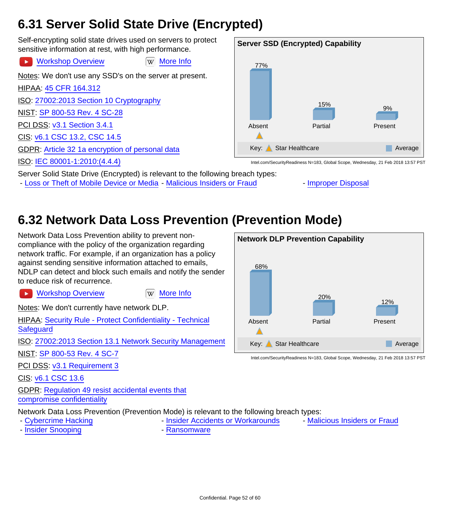### <span id="page-51-1"></span>**6.31 Server Solid State Drive (Encrypted)**

Self-encrypting solid state drives used on servers to protect sensitive information at rest, with high performance.

[Workshop Overview](https://youtu.be/wGuuRdLCv1s) **William** [More Info](https://en.wikipedia.org/wiki/Solid-state_drive)  $\overline{\phantom{a}}$ 

Notes: We don't use any SSD's on the server at present.

HIPAA: [45 CFR 164.312](https://www.law.cornell.edu/cfr/text/45/164.312)

ISO: [27002:2013 Section 10 Cryptography](http://www.iso.org/iso/catalogue_detail?csnumber=54533)

NIST: [SP 800-53 Rev. 4 SC-28](http://nvlpubs.nist.gov/nistpubs/SpecialPublications/NIST.SP.800-53r4.pdf)

PCI DSS: [v3.1 Section 3.4.1](https://www.pcisecuritystandards.org/documents/PCI_DSS_v3-1.pdf)

CIS: [v6.1 CSC 13.2, CSC 14.5](https://www.cisecurity.org/critical-controls/Library.cfm)

GDPR: [Article 32 1a encryption of personal data](http://ec.europa.eu/justice/data-protection/reform/files/regulation_oj_en.pdf)

ISO: [IEC 80001-1:2010:\(4.4.4\)](https://www.iso.org/search/x/query/80001)

**Server SSD (Encrypted) Capability** 77% Absent 15% Partial 9% Present Key: Star Healthcare Average

Intel.com/SecurityReadiness N=183, Global Scope, Wednesday, 21 Feb 2018 13:57 PST

Server Solid State Drive (Encrypted) is relevant to the following breach types:

- [Loss or Theft of Mobile Device or Media](#page-7-0) - [Malicious Insiders or Fraud](#page-13-0) - [Improper Disposal](#page-17-0)



## <span id="page-51-0"></span>**6.32 Network Data Loss Prevention (Prevention Mode)**

Network Data Loss Prevention ability to prevent noncompliance with the policy of the organization regarding network traffic. For example, if an organization has a policy against sending sensitive information attached to emails, NDLP can detect and block such emails and notify the sender to reduce risk of recurrence.

**EX [Workshop Overview](https://youtu.be/oYHCvJ9Hwgo) [More Info](https://en.wikipedia.org/wiki/Data_loss_prevention_software)** 

Notes: We don't currently have network DLP.

HIPAA: [Security Rule - Protect Confidentiality - Technical](http://www.hhs.gov/hipaa/for-professionals/security/laws-regulations/) **[Safeguard](http://www.hhs.gov/hipaa/for-professionals/security/laws-regulations/)** 

ISO: [27002:2013 Section 13.1 Network Security Management](http://www.iso.org/iso/catalogue_detail?csnumber=54533)

NIST: [SP 800-53 Rev. 4 SC-7](http://nvlpubs.nist.gov/nistpubs/SpecialPublications/NIST.SP.800-53r4.pdf)

PCI DSS: [v3.1 Requirement 3](https://www.pcisecuritystandards.org/documents/PCI_DSS_v3-1.pdf)

CIS: [v6.1 CSC 13.6](https://www.cisecurity.org/critical-controls/Library.cfm)

GDPR: [Regulation 49 resist accidental events that](http://ec.europa.eu/justice/data-protection/reform/files/regulation_oj_en.pdf) [compromise confidentiality](http://ec.europa.eu/justice/data-protection/reform/files/regulation_oj_en.pdf)

Network Data Loss Prevention (Prevention Mode) is relevant to the following breach types:

- 
- - [Insider Snooping](#page-15-0)  **[Ransomware](#page-19-0)**
- - [Cybercrime Hacking](#page-5-1) Theorem [Insider Accidents or Workarounds](#page-9-0) [Malicious Insiders or Fraud](#page-13-0)
- 

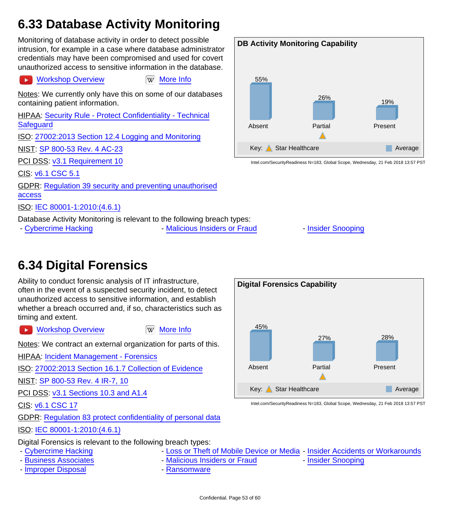## <span id="page-52-0"></span>**6.33 Database Activity Monitoring**

Monitoring of database activity in order to detect possible intrusion, for example in a case where database administrator credentials may have been compromised and used for covert unauthorized access to sensitive information in the database.

#### $\mathbf{r}$

[Workshop Overview](https://youtu.be/b-2lYDEMk0k) **WAG WORKSHOP OVER** [More Info](https://en.wikipedia.org/wiki/Database_activity_monitoring)

Notes: We currently only have this on some of our databases containing patient information.

HIPAA: [Security Rule - Protect Confidentiality - Technical](http://www.hhs.gov/hipaa/for-professionals/security/laws-regulations/) **[Safeguard](http://www.hhs.gov/hipaa/for-professionals/security/laws-regulations/)** ISO: [27002:2013 Section 12.4 Logging and Monitoring](http://www.iso.org/iso/catalogue_detail?csnumber=54533) NIST: [SP 800-53 Rev. 4 AC-23](http://nvlpubs.nist.gov/nistpubs/SpecialPublications/NIST.SP.800-53r4.pdf) PCI DSS: [v3.1 Requirement 10](https://www.pcisecuritystandards.org/documents/PCI_DSS_v3-1.pdf) CIS: [v6.1 CSC 5.1](https://www.cisecurity.org/critical-controls/Library.cfm)

GDPR: [Regulation 39 security and preventing unauthorised](http://ec.europa.eu/justice/data-protection/reform/files/regulation_oj_en.pdf) [access](http://ec.europa.eu/justice/data-protection/reform/files/regulation_oj_en.pdf)

ISO: [IEC 80001-1:2010:\(4.6.1\)](https://www.iso.org/search/x/query/80001)

Database Activity Monitoring is relevant to the following breach types:

- [Cybercrime Hacking](#page-5-1) The [Malicious Insiders or Fraud](#page-13-0) - [Insider Snooping](#page-15-0)



Intel.com/SecurityReadiness N=183, Global Scope, Wednesday, 21 Feb 2018 13:57 PST

#### <span id="page-52-1"></span>**6.34 Digital Forensics**

Ability to conduct forensic analysis of IT infrastructure, often in the event of a suspected security incident, to detect unauthorized access to sensitive information, and establish whether a breach occurred and, if so, characteristics such as timing and extent.

[Workshop Overview](https://youtu.be/NYIrscibdDY) **WAG WANGE IN** [More Info](https://en.wikipedia.org/wiki/Digital_forensics)  $\rightarrow$ 

Notes: We contract an external organization for parts of this.

HIPAA: [Incident Management - Forensics](http://www.hhs.gov/ocio/securityprivacy/incidentmanagement/incidentresp.html)

ISO: [27002:2013 Section 16.1.7 Collection of Evidence](http://www.iso.org/iso/catalogue_detail?csnumber=54533)

NIST: [SP 800-53 Rev. 4 IR-7, 10](http://nvlpubs.nist.gov/nistpubs/SpecialPublications/NIST.SP.800-53r4.pdf)

PCI DSS: [v3.1 Sections 10.3 and A1.4](https://www.pcisecuritystandards.org/documents/PCI_DSS_v3-1.pdf)

CIS: [v6.1 CSC 17](https://www.cisecurity.org/critical-controls/Library.cfm)

GDPR: [Regulation 83 protect confidentiality of personal data](http://ec.europa.eu/justice/data-protection/reform/files/regulation_oj_en.pdf)

ISO: [IEC 80001-1:2010:\(4.6.1\)](https://www.iso.org/search/x/query/80001)

Digital Forensics is relevant to the following breach types:

- -
- - [Improper Disposal](#page-17-0)  **[Ransomware](#page-19-0)**
- - [Cybercrime Hacking](#page-5-1)  **[Loss or Theft of Mobile Device or Media](#page-7-0)** [Insider Accidents or Workarounds](#page-9-0)

**Digital Forensics Capability**

45%

Absent

- - [Business Associates](#page-11-0) The [Malicious Insiders or Fraud](#page-13-0) [Insider Snooping](#page-15-0)
- 

27%

28%

Present

Partial

Key: Star Healthcare Average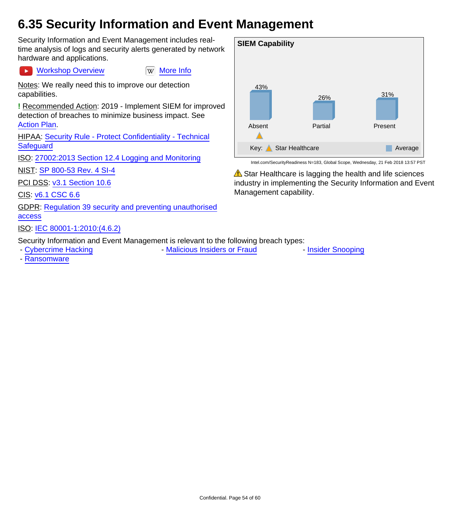#### <span id="page-53-0"></span>**6.35 Security Information and Event Management**

Security Information and Event Management includes realtime analysis of logs and security alerts generated by network hardware and applications.

Notes: We really need this to improve our detection capabilities.

[Workshop Overview](https://youtu.be/TuSyCkAnKPw) WWW [More Info](https://en.wikipedia.org/wiki/Security_information_and_event_management)

**!** Recommended Action: 2019 - Implement SIEM for improved detection of breaches to minimize business impact. See [Action Plan](#page-26-0).

HIPAA: [Security Rule - Protect Confidentiality - Technical](http://www.hhs.gov/hipaa/for-professionals/security/laws-regulations/) **[Safeguard](http://www.hhs.gov/hipaa/for-professionals/security/laws-regulations/)** 

ISO: [27002:2013 Section 12.4 Logging and Monitoring](http://www.iso.org/iso/catalogue_detail?csnumber=54533)

NIST: [SP 800-53 Rev. 4 SI-4](http://nvlpubs.nist.gov/nistpubs/SpecialPublications/NIST.SP.800-53r4.pdf)

PCI DSS: [v3.1 Section 10.6](https://www.pcisecuritystandards.org/documents/PCI_DSS_v3-1.pdf)

CIS: [v6.1 CSC 6.6](https://www.cisecurity.org/critical-controls/Library.cfm)

 $\blacktriangleright$ 

GDPR: [Regulation 39 security and preventing unauthorised](http://ec.europa.eu/justice/data-protection/reform/files/regulation_oj_en.pdf) [access](http://ec.europa.eu/justice/data-protection/reform/files/regulation_oj_en.pdf)

#### ISO: [IEC 80001-1:2010:\(4.6.2\)](https://www.iso.org/search/x/query/80001)

Security Information and Event Management is relevant to the following breach types:

- [Cybercrime Hacking](#page-5-1) The [Malicious Insiders or Fraud](#page-13-0) Theorem - [Insider Snooping](#page-15-0)

- [Ransomware](#page-19-0)



Intel.com/SecurityReadiness N=183, Global Scope, Wednesday, 21 Feb 2018 13:57 PST

 $\triangle$  Star Healthcare is lagging the health and life sciences industry in implementing the Security Information and Event Management capability.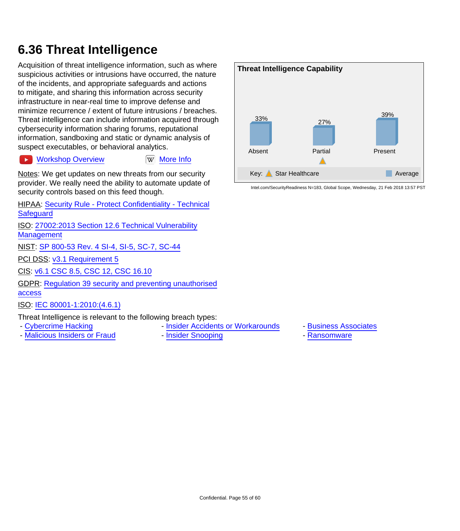### <span id="page-54-0"></span>**6.36 Threat Intelligence**

Acquisition of threat intelligence information, such as where suspicious activities or intrusions have occurred, the nature of the incidents, and appropriate safeguards and actions to mitigate, and sharing this information across security infrastructure in near-real time to improve defense and minimize recurrence / extent of future intrusions / breaches. Threat intelligence can include information acquired through cybersecurity information sharing forums, reputational information, sandboxing and static or dynamic analysis of suspect executables, or behavioral analytics.

#### [Workshop Overview](https://youtu.be/9Bh3n8DTcsc) WWW [More Info](https://en.wikipedia.org/wiki/Cyber_threat_intelligence)  $\rightarrow$

Notes: We get updates on new threats from our security provider. We really need the ability to automate update of security controls based on this feed though.

HIPAA: [Security Rule - Protect Confidentiality - Technical](http://www.hhs.gov/hipaa/for-professionals/security/laws-regulations/) **[Safeguard](http://www.hhs.gov/hipaa/for-professionals/security/laws-regulations/)** 

ISO: [27002:2013 Section 12.6 Technical Vulnerability](http://www.iso.org/iso/catalogue_detail?csnumber=54533) **[Management](http://www.iso.org/iso/catalogue_detail?csnumber=54533)** 

NIST: [SP 800-53 Rev. 4 SI-4, SI-5, SC-7, SC-44](http://nvlpubs.nist.gov/nistpubs/SpecialPublications/NIST.SP.800-53r4.pdf)

PCI DSS: [v3.1 Requirement 5](https://www.pcisecuritystandards.org/documents/PCI_DSS_v3-1.pdf)

CIS: [v6.1 CSC 8.5, CSC 12, CSC 16.10](https://www.cisecurity.org/critical-controls/Library.cfm)

GDPR: [Regulation 39 security and preventing unauthorised](http://ec.europa.eu/justice/data-protection/reform/files/regulation_oj_en.pdf) [access](http://ec.europa.eu/justice/data-protection/reform/files/regulation_oj_en.pdf)

ISO: [IEC 80001-1:2010:\(4.6.1\)](https://www.iso.org/search/x/query/80001)

Threat Intelligence is relevant to the following breach types:

- 
- - [Malicious Insiders or Fraud](#page-13-0) [Insider Snooping](#page-15-0) The [Ransomware](#page-19-0)
- - [Cybercrime Hacking](#page-5-1)  **[Insider Accidents or Workarounds](#page-9-0)** [Business Associates](#page-11-0)
	-



- 
-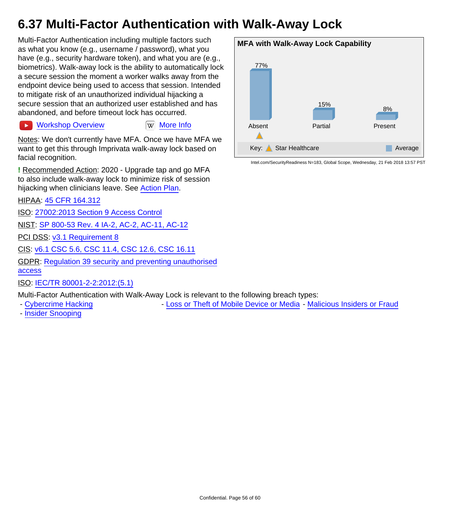### <span id="page-55-0"></span>**6.37 Multi-Factor Authentication with Walk-Away Lock**

Multi-Factor Authentication including multiple factors such as what you know (e.g., username / password), what you have (e.g., security hardware token), and what you are (e.g., biometrics). Walk-away lock is the ability to automatically lock a secure session the moment a worker walks away from the endpoint device being used to access that session. Intended to mitigate risk of an unauthorized individual hijacking a secure session that an authorized user established and has abandoned, and before timeout lock has occurred.

[Workshop Overview](https://youtu.be/oHJPYXQvu7c) **Ware Information** Workshop Overview  $\rightarrow$ 

Notes: We don't currently have MFA. Once we have MFA we want to get this through Imprivata walk-away lock based on facial recognition.

**!** Recommended Action: 2020 - Upgrade tap and go MFA to also include walk-away lock to minimize risk of session hijacking when clinicians leave. See [Action Plan](#page-26-0).

HIPAA: [45 CFR 164.312](https://www.law.cornell.edu/cfr/text/45/164.312)

ISO: [27002:2013 Section 9 Access Control](http://www.iso.org/iso/catalogue_detail?csnumber=54533)

NIST: [SP 800-53 Rev. 4 IA-2, AC-2, AC-11, AC-12](http://nvlpubs.nist.gov/nistpubs/SpecialPublications/NIST.SP.800-53r4.pdf)

PCI DSS: [v3.1 Requirement 8](https://www.pcisecuritystandards.org/documents/PCI_DSS_v3-1.pdf)

CIS: [v6.1 CSC 5.6, CSC 11.4, CSC 12.6, CSC 16.11](https://www.cisecurity.org/critical-controls/Library.cfm)

GDPR: [Regulation 39 security and preventing unauthorised](http://ec.europa.eu/justice/data-protection/reform/files/regulation_oj_en.pdf) [access](http://ec.europa.eu/justice/data-protection/reform/files/regulation_oj_en.pdf)

ISO: [IEC/TR 80001-2-2:2012:\(5.1\)](https://www.iso.org/search/x/query/80001)

Multi-Factor Authentication with Walk-Away Lock is relevant to the following breach types:

- - [Cybercrime Hacking](#page-5-1) Theft of Mobile Device or Media [Malicious Insiders or Fraud](#page-13-0)
- - [Insider Snooping](#page-15-0)

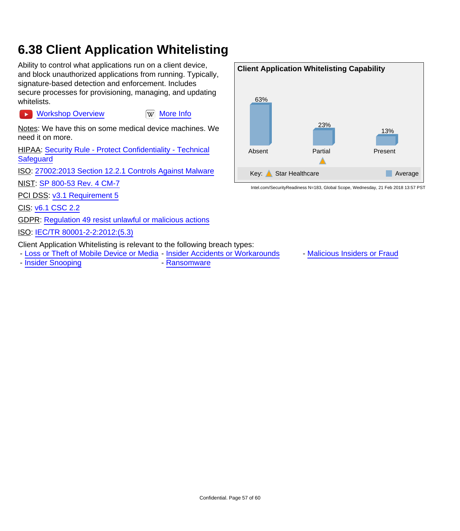### <span id="page-56-0"></span>**6.38 Client Application Whitelisting**

Ability to control what applications run on a client device, and block unauthorized applications from running. Typically, signature-based detection and enforcement. Includes secure processes for provisioning, managing, and updating whitelists.

[Workshop Overview](https://youtu.be/4jNnldVjS5M) **William** [More Info](http://itlaw.wikia.com/wiki/Application_whitelisting)

Notes: We have this on some medical device machines. We need it on more.

HIPAA: [Security Rule - Protect Confidentiality - Technical](http://www.hhs.gov/hipaa/for-professionals/security/laws-regulations/) **Safequard** 

ISO: [27002:2013 Section 12.2.1 Controls Against Malware](http://www.iso.org/iso/catalogue_detail?csnumber=54533)

NIST: [SP 800-53 Rev. 4 CM-7](http://nvlpubs.nist.gov/nistpubs/SpecialPublications/NIST.SP.800-53r4.pdf)

PCI DSS: [v3.1 Requirement 5](https://www.pcisecuritystandards.org/documents/PCI_DSS_v3-1.pdf)

CIS: [v6.1 CSC 2.2](https://www.cisecurity.org/critical-controls/Library.cfm)

 $\blacktriangleright$ 

GDPR: [Regulation 49 resist unlawful or malicious actions](http://ec.europa.eu/justice/data-protection/reform/files/regulation_oj_en.pdf)

ISO: [IEC/TR 80001-2-2:2012:\(5.3\)](https://www.iso.org/search/x/query/80001)

Client Application Whitelisting is relevant to the following breach types:

- [Loss or Theft of Mobile Device or Media](#page-7-0) - [Insider Accidents or Workarounds](#page-9-0) - [Malicious Insiders or Fraud](#page-13-0)

- [Insider Snooping](#page-15-0) **- [Ransomware](#page-19-0)** 

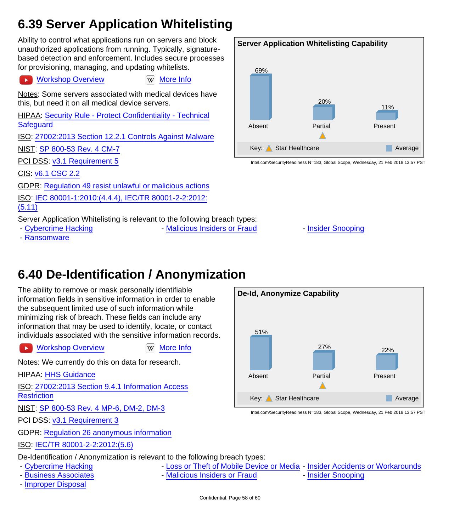### <span id="page-57-0"></span>**6.39 Server Application Whitelisting**

Ability to control what applications run on servers and block unauthorized applications from running. Typically, signaturebased detection and enforcement. Includes secure processes for provisioning, managing, and updating whitelists.

#### **EX [Workshop Overview](https://youtu.be/oX9xirxwtyg) [More Info](http://itlaw.wikia.com/wiki/Application_whitelisting)**

Notes: Some servers associated with medical devices have this, but need it on all medical device servers.

HIPAA: [Security Rule - Protect Confidentiality - Technical](http://www.hhs.gov/hipaa/for-professionals/security/laws-regulations/) **[Safeguard](http://www.hhs.gov/hipaa/for-professionals/security/laws-regulations/)** 

ISO: [27002:2013 Section 12.2.1 Controls Against Malware](http://www.iso.org/iso/catalogue_detail?csnumber=54533)

NIST: [SP 800-53 Rev. 4 CM-7](http://nvlpubs.nist.gov/nistpubs/SpecialPublications/NIST.SP.800-53r4.pdf)

PCI DSS: [v3.1 Requirement 5](https://www.pcisecuritystandards.org/documents/PCI_DSS_v3-1.pdf)

CIS: [v6.1 CSC 2.2](https://www.cisecurity.org/critical-controls/Library.cfm)

GDPR: [Regulation 49 resist unlawful or malicious actions](http://ec.europa.eu/justice/data-protection/reform/files/regulation_oj_en.pdf)

ISO: [IEC 80001-1:2010:\(4.4.4\), IEC/TR 80001-2-2:2012:](https://www.iso.org/search/x/query/80001) [\(5.11\)](https://www.iso.org/search/x/query/80001)

Server Application Whitelisting is relevant to the following breach types:

- - [Cybercrime Hacking](#page-5-1) The [Malicious Insiders or Fraud](#page-13-0) [Insider Snooping](#page-15-0)
- - [Ransomware](#page-19-0)

#### **Server Application Whitelisting Capability** 69% Absent 20% Partial 11% Present Key: Star Healthcare Average

Intel.com/SecurityReadiness N=183, Global Scope, Wednesday, 21 Feb 2018 13:57 PST

**6.40 De-Identification / Anonymization**

<span id="page-57-1"></span>The ability to remove or mask personally identifiable information fields in sensitive information in order to enable the subsequent limited use of such information while minimizing risk of breach. These fields can include any

information that may be used to identify, locate, or contact individuals associated with the sensitive information records.

 $\blacktriangleright$ 

[Workshop Overview](https://youtu.be/qIq1YecGRWk) **William** Workshop Overview

Notes: We currently do this on data for research.

**HIPAA: [HHS Guidance](http://www.hhs.gov/hipaa/for-professionals/privacy/special-topics/de-identification/index.html)** 

ISO: [27002:2013 Section 9.4.1 Information Access](http://www.iso.org/iso/catalogue_detail?csnumber=54533)

**[Restriction](http://www.iso.org/iso/catalogue_detail?csnumber=54533)** 

NIST: [SP 800-53 Rev. 4 MP-6, DM-2, DM-3](http://nvlpubs.nist.gov/nistpubs/SpecialPublications/NIST.SP.800-53r4.pdf)

PCI DSS: [v3.1 Requirement 3](https://www.pcisecuritystandards.org/documents/PCI_DSS_v3-1.pdf)

GDPR: [Regulation 26 anonymous information](http://ec.europa.eu/justice/data-protection/reform/files/regulation_oj_en.pdf)

ISO: [IEC/TR 80001-2-2:2012:\(5.6\)](https://www.iso.org/search/x/query/80001)

De-Identification / Anonymization is relevant to the following breach types:

- 
- - [Business Associates](#page-11-0)  **[Malicious Insiders or Fraud](#page-13-0)** [Insider Snooping](#page-15-0)
- - [Improper Disposal](#page-17-0)
- - [Cybercrime Hacking](#page-5-1) The [Loss or Theft of Mobile Device or Media](#page-7-0) [Insider Accidents or Workarounds](#page-9-0)
	-
	-

Confidential. Page 58 of 60

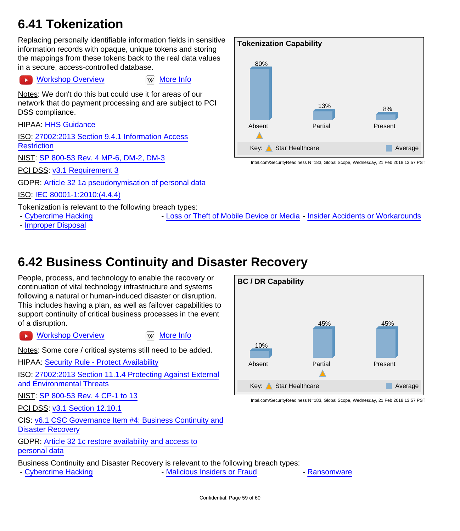#### <span id="page-58-0"></span>**6.41 Tokenization**

Replacing personally identifiable information fields in sensitive information records with opaque, unique tokens and storing the mappings from these tokens back to the real data values in a secure, access-controlled database.

#### [Workshop Overview](https://youtu.be/KJvE37i0gNw) **Ware Information** Will [More Info](https://en.wikipedia.org/wiki/Tokenization_(data_security))

Notes: We don't do this but could use it for areas of our network that do payment processing and are subject to PCI DSS compliance.

HIPAA: [HHS Guidance](http://www.hhs.gov/hipaa/for-professionals/privacy/special-topics/de-identification/index.html)

ISO: [27002:2013 Section 9.4.1 Information Access](http://www.iso.org/iso/catalogue_detail?csnumber=54533) **[Restriction](http://www.iso.org/iso/catalogue_detail?csnumber=54533)** 

NIST: [SP 800-53 Rev. 4 MP-6, DM-2, DM-3](http://nvlpubs.nist.gov/nistpubs/SpecialPublications/NIST.SP.800-53r4.pdf)

PCI DSS: [v3.1 Requirement 3](https://www.pcisecuritystandards.org/documents/PCI_DSS_v3-1.pdf)

GDPR: [Article 32 1a pseudonymisation of personal data](http://ec.europa.eu/justice/data-protection/reform/files/regulation_oj_en.pdf)

ISO: [IEC 80001-1:2010:\(4.4.4\)](https://www.iso.org/search/x/query/80001)

Tokenization is relevant to the following breach types:

- 
- - [Improper Disposal](#page-17-0)

- [Cybercrime Hacking](#page-5-1) **- [Loss or Theft of Mobile Device or Media](#page-7-0)** - [Insider Accidents or Workarounds](#page-9-0)

<span id="page-58-1"></span>**6.42 Business Continuity and Disaster Recovery**

People, process, and technology to enable the recovery or continuation of vital technology infrastructure and systems following a natural or human-induced disaster or disruption. This includes having a plan, as well as failover capabilities to support continuity of critical business processes in the event of a disruption.

**EX [Workshop Overview](https://youtu.be/XA3lx28UhUs) [More Info](https://en.wikipedia.org/wiki/Business_continuity)** 

Notes: Some core / critical systems still need to be added.

**HIPAA: [Security Rule - Protect Availability](http://www.hhs.gov/hipaa/for-professionals/security/laws-regulations/)** 

ISO: [27002:2013 Section 11.1.4 Protecting Against External](http://www.iso.org/iso/catalogue_detail?csnumber=54533) [and Environmental Threats](http://www.iso.org/iso/catalogue_detail?csnumber=54533)

NIST: [SP 800-53 Rev. 4 CP-1 to 13](http://nvlpubs.nist.gov/nistpubs/SpecialPublications/NIST.SP.800-53r4.pdf)

**PCI DSS: [v3.1 Section 12.10.1](https://www.pcisecuritystandards.org/documents/PCI_DSS_v3-1.pdf)** 

CIS: [v6.1 CSC Governance Item #4: Business Continuity and](https://www.cisecurity.org/critical-controls/Library.cfm) [Disaster Recovery](https://www.cisecurity.org/critical-controls/Library.cfm)

GDPR: [Article 32 1c restore availability and access to](http://ec.europa.eu/justice/data-protection/reform/files/regulation_oj_en.pdf) [personal data](http://ec.europa.eu/justice/data-protection/reform/files/regulation_oj_en.pdf)

Business Continuity and Disaster Recovery is relevant to the following breach types:

- [Cybercrime Hacking](#page-5-1) The [Malicious Insiders or Fraud](#page-13-0) - [Ransomware](#page-19-0)



Intel.com/SecurityReadiness N=183, Global Scope, Wednesday, 21 Feb 2018 13:57 PST